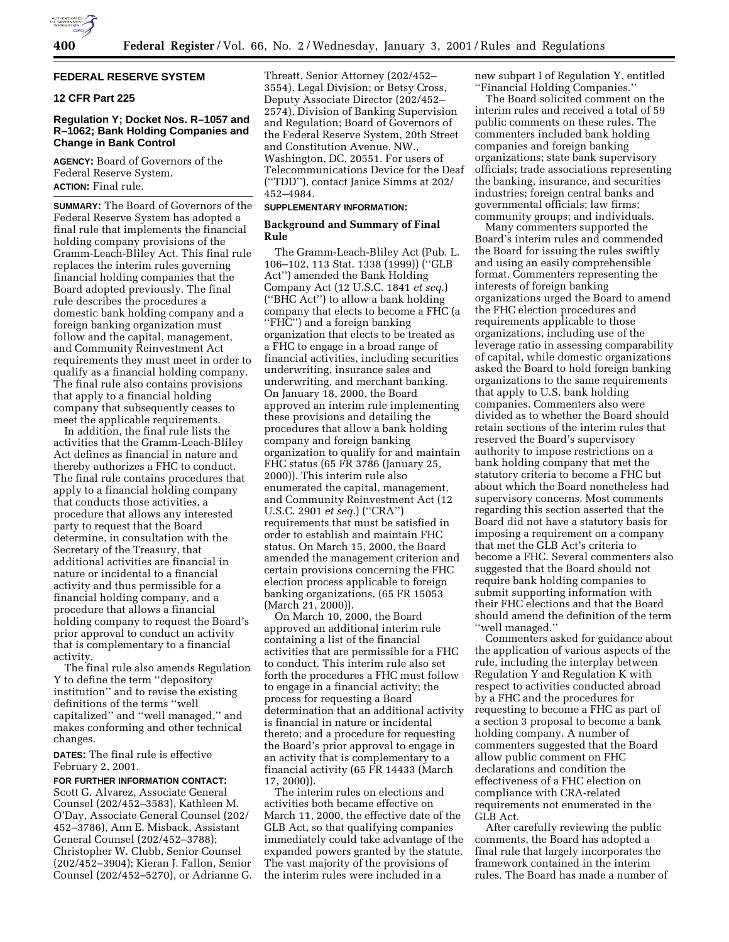

## **FEDERAL RESERVE SYSTEM**

# **12 CFR Part 225**

# **Regulation Y; Docket Nos. R–1057 and R–1062; Bank Holding Companies and Change in Bank Control**

**AGENCY:** Board of Governors of the Federal Reserve System. **ACTION:** Final rule.

**SUMMARY:** The Board of Governors of the Federal Reserve System has adopted a final rule that implements the financial holding company provisions of the Gramm-Leach-Bliley Act. This final rule replaces the interim rules governing financial holding companies that the Board adopted previously. The final rule describes the procedures a domestic bank holding company and a foreign banking organization must follow and the capital, management, and Community Reinvestment Act requirements they must meet in order to qualify as a financial holding company. The final rule also contains provisions that apply to a financial holding company that subsequently ceases to meet the applicable requirements.

In addition, the final rule lists the activities that the Gramm-Leach-Bliley Act defines as financial in nature and thereby authorizes a FHC to conduct. The final rule contains procedures that apply to a financial holding company that conducts those activities, a procedure that allows any interested party to request that the Board determine, in consultation with the Secretary of the Treasury, that additional activities are financial in nature or incidental to a financial activity and thus permissible for a financial holding company, and a procedure that allows a financial holding company to request the Board's prior approval to conduct an activity that is complementary to a financial activity.

The final rule also amends Regulation Y to define the term ''depository institution'' and to revise the existing definitions of the terms ''well capitalized'' and ''well managed,'' and makes conforming and other technical changes.

**DATES:** The final rule is effective February 2, 2001.

# **FOR FURTHER INFORMATION CONTACT:** Scott G. Alvarez, Associate General Counsel (202/452–3583), Kathleen M. O'Day, Associate General Counsel (202/ 452–3786), Ann E. Misback, Assistant General Counsel (202/452–3788); Christopher W. Clubb, Senior Counsel (202/452–3904); Kieran J. Fallon, Senior Counsel (202/452–5270), or Adrianne G.

Threatt, Senior Attorney (202/452– 3554), Legal Division; or Betsy Cross, Deputy Associate Director (202/452– 2574), Division of Banking Supervision and Regulation; Board of Governors of the Federal Reserve System, 20th Street and Constitution Avenue, NW., Washington, DC, 20551. For users of Telecommunications Device for the Deaf (''TDD''), contact Janice Simms at 202/ 452–4984.

# **SUPPLEMENTARY INFORMATION:**

### **Background and Summary of Final Rule**

The Gramm-Leach-Bliley Act (Pub. L. 106–102, 113 Stat. 1338 (1999)) (''GLB Act'') amended the Bank Holding Company Act (12 U.S.C. 1841 *et seq.*) (''BHC Act'') to allow a bank holding company that elects to become a FHC (a ''FHC'') and a foreign banking organization that elects to be treated as a FHC to engage in a broad range of financial activities, including securities underwriting, insurance sales and underwriting, and merchant banking. On January 18, 2000, the Board approved an interim rule implementing these provisions and detailing the procedures that allow a bank holding company and foreign banking organization to qualify for and maintain FHC status (65 FR 3786 (January 25, 2000)). This interim rule also enumerated the capital, management, and Community Reinvestment Act (12 U.S.C. 2901 *et seq.*) (''CRA'') requirements that must be satisfied in order to establish and maintain FHC status. On March 15, 2000, the Board amended the management criterion and certain provisions concerning the FHC election process applicable to foreign banking organizations. (65 FR 15053 (March 21, 2000)).

On March 10, 2000, the Board approved an additional interim rule containing a list of the financial activities that are permissible for a FHC to conduct. This interim rule also set forth the procedures a FHC must follow to engage in a financial activity; the process for requesting a Board determination that an additional activity is financial in nature or incidental thereto; and a procedure for requesting the Board's prior approval to engage in an activity that is complementary to a financial activity (65 FR 14433 (March 17, 2000)).

The interim rules on elections and activities both became effective on March 11, 2000, the effective date of the GLB Act, so that qualifying companies immediately could take advantage of the expanded powers granted by the statute. The vast majority of the provisions of the interim rules were included in a

new subpart I of Regulation Y, entitled ''Financial Holding Companies.''

The Board solicited comment on the interim rules and received a total of 59 public comments on these rules. The commenters included bank holding companies and foreign banking organizations; state bank supervisory officials; trade associations representing the banking, insurance, and securities industries; foreign central banks and governmental officials; law firms; community groups; and individuals.

Many commenters supported the Board's interim rules and commended the Board for issuing the rules swiftly and using an easily comprehensible format. Commenters representing the interests of foreign banking organizations urged the Board to amend the FHC election procedures and requirements applicable to those organizations, including use of the leverage ratio in assessing comparability of capital, while domestic organizations asked the Board to hold foreign banking organizations to the same requirements that apply to U.S. bank holding companies. Commenters also were divided as to whether the Board should retain sections of the interim rules that reserved the Board's supervisory authority to impose restrictions on a bank holding company that met the statutory criteria to become a FHC but about which the Board nonetheless had supervisory concerns. Most comments regarding this section asserted that the Board did not have a statutory basis for imposing a requirement on a company that met the GLB Act's criteria to become a FHC. Several commenters also suggested that the Board should not require bank holding companies to submit supporting information with their FHC elections and that the Board should amend the definition of the term ''well managed.''

Commenters asked for guidance about the application of various aspects of the rule, including the interplay between Regulation Y and Regulation K with respect to activities conducted abroad by a FHC and the procedures for requesting to become a FHC as part of a section 3 proposal to become a bank holding company. A number of commenters suggested that the Board allow public comment on FHC declarations and condition the effectiveness of a FHC election on compliance with CRA-related requirements not enumerated in the GLB Act.

After carefully reviewing the public comments, the Board has adopted a final rule that largely incorporates the framework contained in the interim rules. The Board has made a number of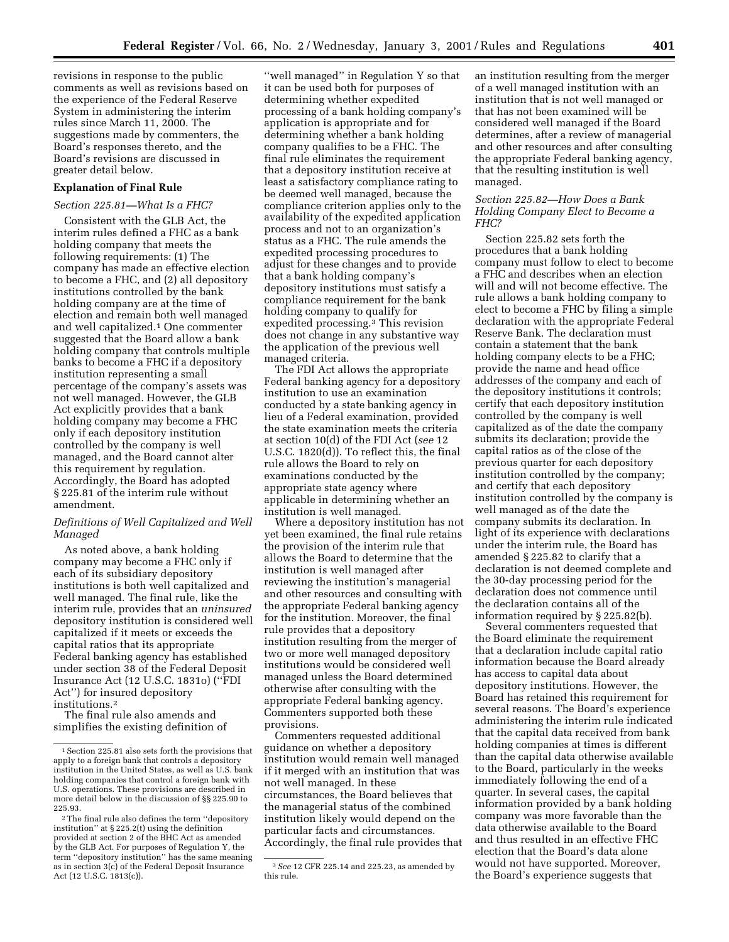revisions in response to the public comments as well as revisions based on the experience of the Federal Reserve System in administering the interim rules since March 11, 2000. The suggestions made by commenters, the Board's responses thereto, and the Board's revisions are discussed in greater detail below.

# **Explanation of Final Rule**

#### *Section 225.81—What Is a FHC?*

Consistent with the GLB Act, the interim rules defined a FHC as a bank holding company that meets the following requirements: (1) The company has made an effective election to become a FHC, and (2) all depository institutions controlled by the bank holding company are at the time of election and remain both well managed and well capitalized.1 One commenter suggested that the Board allow a bank holding company that controls multiple banks to become a FHC if a depository institution representing a small percentage of the company's assets was not well managed. However, the GLB Act explicitly provides that a bank holding company may become a FHC only if each depository institution controlled by the company is well managed, and the Board cannot alter this requirement by regulation. Accordingly, the Board has adopted § 225.81 of the interim rule without amendment.

# *Definitions of Well Capitalized and Well Managed*

As noted above, a bank holding company may become a FHC only if each of its subsidiary depository institutions is both well capitalized and well managed. The final rule, like the interim rule, provides that an *uninsured* depository institution is considered well capitalized if it meets or exceeds the capital ratios that its appropriate Federal banking agency has established under section 38 of the Federal Deposit Insurance Act (12 U.S.C. 1831o) (''FDI Act'') for insured depository institutions.2

The final rule also amends and simplifies the existing definition of

''well managed'' in Regulation Y so that it can be used both for purposes of determining whether expedited processing of a bank holding company's application is appropriate and for determining whether a bank holding company qualifies to be a FHC. The final rule eliminates the requirement that a depository institution receive at least a satisfactory compliance rating to be deemed well managed, because the compliance criterion applies only to the availability of the expedited application process and not to an organization's status as a FHC. The rule amends the expedited processing procedures to adjust for these changes and to provide that a bank holding company's depository institutions must satisfy a compliance requirement for the bank holding company to qualify for expedited processing.3 This revision does not change in any substantive way the application of the previous well managed criteria.

The FDI Act allows the appropriate Federal banking agency for a depository institution to use an examination conducted by a state banking agency in lieu of a Federal examination, provided the state examination meets the criteria at section 10(d) of the FDI Act (*see* 12 U.S.C. 1820(d)). To reflect this, the final rule allows the Board to rely on examinations conducted by the appropriate state agency where applicable in determining whether an institution is well managed.

Where a depository institution has not yet been examined, the final rule retains the provision of the interim rule that allows the Board to determine that the institution is well managed after reviewing the institution's managerial and other resources and consulting with the appropriate Federal banking agency for the institution. Moreover, the final rule provides that a depository institution resulting from the merger of two or more well managed depository institutions would be considered well managed unless the Board determined otherwise after consulting with the appropriate Federal banking agency. Commenters supported both these provisions.

Commenters requested additional guidance on whether a depository institution would remain well managed if it merged with an institution that was not well managed. In these circumstances, the Board believes that the managerial status of the combined institution likely would depend on the particular facts and circumstances. Accordingly, the final rule provides that an institution resulting from the merger of a well managed institution with an institution that is not well managed or that has not been examined will be considered well managed if the Board determines, after a review of managerial and other resources and after consulting the appropriate Federal banking agency, that the resulting institution is well managed.

### *Section 225.82—How Does a Bank Holding Company Elect to Become a FHC?*

Section 225.82 sets forth the procedures that a bank holding company must follow to elect to become a FHC and describes when an election will and will not become effective. The rule allows a bank holding company to elect to become a FHC by filing a simple declaration with the appropriate Federal Reserve Bank. The declaration must contain a statement that the bank holding company elects to be a FHC; provide the name and head office addresses of the company and each of the depository institutions it controls; certify that each depository institution controlled by the company is well capitalized as of the date the company submits its declaration; provide the capital ratios as of the close of the previous quarter for each depository institution controlled by the company; and certify that each depository institution controlled by the company is well managed as of the date the company submits its declaration. In light of its experience with declarations under the interim rule, the Board has amended § 225.82 to clarify that a declaration is not deemed complete and the 30-day processing period for the declaration does not commence until the declaration contains all of the information required by § 225.82(b).

Several commenters requested that the Board eliminate the requirement that a declaration include capital ratio information because the Board already has access to capital data about depository institutions. However, the Board has retained this requirement for several reasons. The Board's experience administering the interim rule indicated that the capital data received from bank holding companies at times is different than the capital data otherwise available to the Board, particularly in the weeks immediately following the end of a quarter. In several cases, the capital information provided by a bank holding company was more favorable than the data otherwise available to the Board and thus resulted in an effective FHC election that the Board's data alone would not have supported. Moreover, the Board's experience suggests that

<sup>1</sup>Section 225.81 also sets forth the provisions that apply to a foreign bank that controls a depository institution in the United States, as well as U.S. bank holding companies that control a foreign bank with U.S. operations. These provisions are described in more detail below in the discussion of §§ 225.90 to 225.93.

<sup>2</sup>The final rule also defines the term ''depository institution'' at § 225.2(t) using the definition provided at section 2 of the BHC Act as amended by the GLB Act. For purposes of Regulation Y, the term ''depository institution'' has the same meaning as in section 3(c) of the Federal Deposit Insurance Act (12 U.S.C. 1813(c)).

<sup>3</sup>*See* 12 CFR 225.14 and 225.23, as amended by this rule.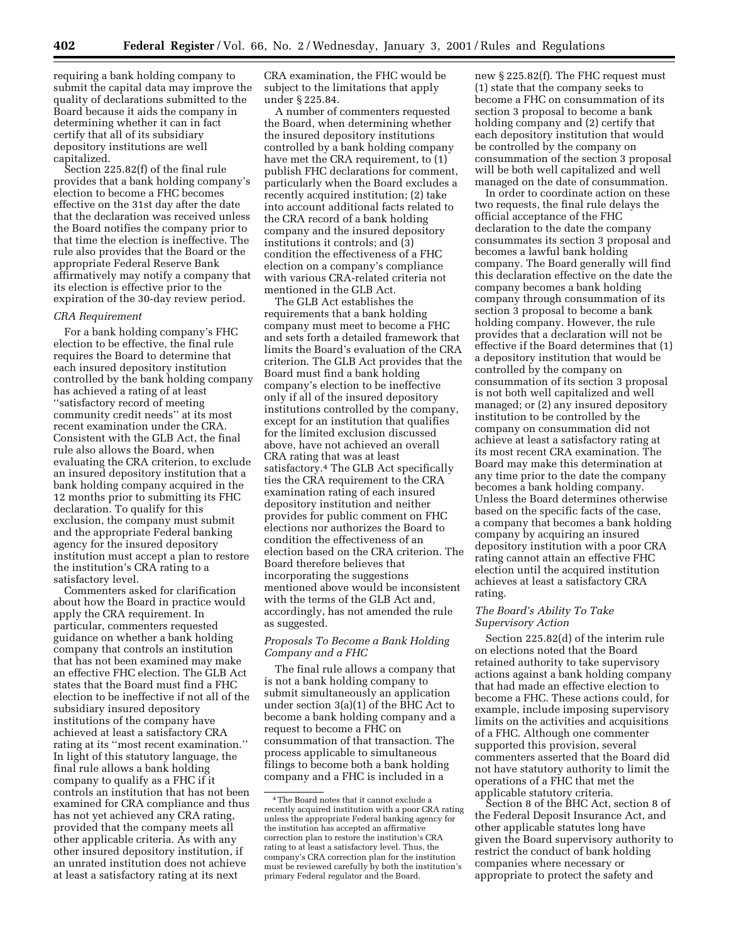requiring a bank holding company to submit the capital data may improve the quality of declarations submitted to the Board because it aids the company in determining whether it can in fact certify that all of its subsidiary depository institutions are well capitalized.

Section 225.82(f) of the final rule provides that a bank holding company's election to become a FHC becomes effective on the 31st day after the date that the declaration was received unless the Board notifies the company prior to that time the election is ineffective. The rule also provides that the Board or the appropriate Federal Reserve Bank affirmatively may notify a company that its election is effective prior to the expiration of the 30-day review period.

#### *CRA Requirement*

For a bank holding company's FHC election to be effective, the final rule requires the Board to determine that each insured depository institution controlled by the bank holding company has achieved a rating of at least ''satisfactory record of meeting community credit needs'' at its most recent examination under the CRA. Consistent with the GLB Act, the final rule also allows the Board, when evaluating the CRA criterion, to exclude an insured depository institution that a bank holding company acquired in the 12 months prior to submitting its FHC declaration. To qualify for this exclusion, the company must submit and the appropriate Federal banking agency for the insured depository institution must accept a plan to restore the institution's CRA rating to a satisfactory level.

Commenters asked for clarification about how the Board in practice would apply the CRA requirement. In particular, commenters requested guidance on whether a bank holding company that controls an institution that has not been examined may make an effective FHC election. The GLB Act states that the Board must find a FHC election to be ineffective if not all of the subsidiary insured depository institutions of the company have achieved at least a satisfactory CRA rating at its ''most recent examination.'' In light of this statutory language, the final rule allows a bank holding company to qualify as a FHC if it controls an institution that has not been examined for CRA compliance and thus has not yet achieved any CRA rating, provided that the company meets all other applicable criteria. As with any other insured depository institution, if an unrated institution does not achieve at least a satisfactory rating at its next

CRA examination, the FHC would be subject to the limitations that apply under § 225.84.

A number of commenters requested the Board, when determining whether the insured depository institutions controlled by a bank holding company have met the CRA requirement, to (1) publish FHC declarations for comment, particularly when the Board excludes a recently acquired institution; (2) take into account additional facts related to the CRA record of a bank holding company and the insured depository institutions it controls; and (3) condition the effectiveness of a FHC election on a company's compliance with various CRA-related criteria not mentioned in the GLB Act.

The GLB Act establishes the requirements that a bank holding company must meet to become a FHC and sets forth a detailed framework that limits the Board's evaluation of the CRA criterion. The GLB Act provides that the Board must find a bank holding company's election to be ineffective only if all of the insured depository institutions controlled by the company, except for an institution that qualifies for the limited exclusion discussed above, have not achieved an overall CRA rating that was at least satisfactory.4 The GLB Act specifically ties the CRA requirement to the CRA examination rating of each insured depository institution and neither provides for public comment on FHC elections nor authorizes the Board to condition the effectiveness of an election based on the CRA criterion. The Board therefore believes that incorporating the suggestions mentioned above would be inconsistent with the terms of the GLB Act and, accordingly, has not amended the rule as suggested.

### *Proposals To Become a Bank Holding Company and a FHC*

The final rule allows a company that is not a bank holding company to submit simultaneously an application under section 3(a)(1) of the BHC Act to become a bank holding company and a request to become a FHC on consummation of that transaction. The process applicable to simultaneous filings to become both a bank holding company and a FHC is included in a

new § 225.82(f). The FHC request must (1) state that the company seeks to become a FHC on consummation of its section 3 proposal to become a bank holding company and (2) certify that each depository institution that would be controlled by the company on consummation of the section 3 proposal will be both well capitalized and well managed on the date of consummation.

In order to coordinate action on these two requests, the final rule delays the official acceptance of the FHC declaration to the date the company consummates its section 3 proposal and becomes a lawful bank holding company. The Board generally will find this declaration effective on the date the company becomes a bank holding company through consummation of its section 3 proposal to become a bank holding company. However, the rule provides that a declaration will not be effective if the Board determines that (1) a depository institution that would be controlled by the company on consummation of its section 3 proposal is not both well capitalized and well managed; or (2) any insured depository institution to be controlled by the company on consummation did not achieve at least a satisfactory rating at its most recent CRA examination. The Board may make this determination at any time prior to the date the company becomes a bank holding company. Unless the Board determines otherwise based on the specific facts of the case, a company that becomes a bank holding company by acquiring an insured depository institution with a poor CRA rating cannot attain an effective FHC election until the acquired institution achieves at least a satisfactory CRA rating.

# *The Board's Ability To Take Supervisory Action*

Section 225.82(d) of the interim rule on elections noted that the Board retained authority to take supervisory actions against a bank holding company that had made an effective election to become a FHC. These actions could, for example, include imposing supervisory limits on the activities and acquisitions of a FHC. Although one commenter supported this provision, several commenters asserted that the Board did not have statutory authority to limit the operations of a FHC that met the applicable statutory criteria.

Section 8 of the BHC Act, section 8 of the Federal Deposit Insurance Act, and other applicable statutes long have given the Board supervisory authority to restrict the conduct of bank holding companies where necessary or appropriate to protect the safety and

<sup>4</sup>The Board notes that it cannot exclude a recently acquired institution with a poor CRA rating unless the appropriate Federal banking agency for the institution has accepted an affirmative correction plan to restore the institution's CRA rating to at least a satisfactory level. Thus, the company's CRA correction plan for the institution must be reviewed carefully by both the institution's primary Federal regulator and the Board.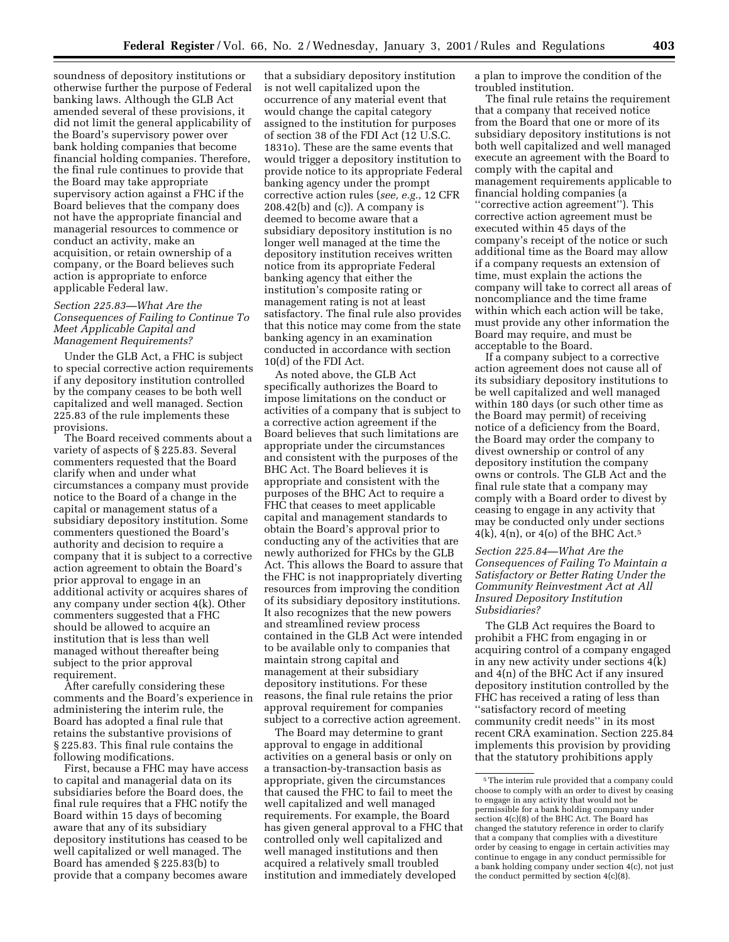soundness of depository institutions or otherwise further the purpose of Federal banking laws. Although the GLB Act amended several of these provisions, it did not limit the general applicability of the Board's supervisory power over bank holding companies that become financial holding companies. Therefore, the final rule continues to provide that the Board may take appropriate supervisory action against a FHC if the Board believes that the company does not have the appropriate financial and managerial resources to commence or conduct an activity, make an acquisition, or retain ownership of a company, or the Board believes such action is appropriate to enforce applicable Federal law.

# *Section 225.83—What Are the Consequences of Failing to Continue To Meet Applicable Capital and Management Requirements?*

Under the GLB Act, a FHC is subject to special corrective action requirements if any depository institution controlled by the company ceases to be both well capitalized and well managed. Section 225.83 of the rule implements these provisions.

The Board received comments about a variety of aspects of § 225.83. Several commenters requested that the Board clarify when and under what circumstances a company must provide notice to the Board of a change in the capital or management status of a subsidiary depository institution. Some commenters questioned the Board's authority and decision to require a company that it is subject to a corrective action agreement to obtain the Board's prior approval to engage in an additional activity or acquires shares of any company under section 4(k). Other commenters suggested that a FHC should be allowed to acquire an institution that is less than well managed without thereafter being subject to the prior approval requirement.

After carefully considering these comments and the Board's experience in administering the interim rule, the Board has adopted a final rule that retains the substantive provisions of § 225.83. This final rule contains the following modifications.

First, because a FHC may have access to capital and managerial data on its subsidiaries before the Board does, the final rule requires that a FHC notify the Board within 15 days of becoming aware that any of its subsidiary depository institutions has ceased to be well capitalized or well managed. The Board has amended § 225.83(b) to provide that a company becomes aware

that a subsidiary depository institution is not well capitalized upon the occurrence of any material event that would change the capital category assigned to the institution for purposes of section 38 of the FDI Act (12 U.S.C. 1831o). These are the same events that would trigger a depository institution to provide notice to its appropriate Federal banking agency under the prompt corrective action rules (*see, e.g.*, 12 CFR  $208.42(b)$  and (c)). A company is deemed to become aware that a subsidiary depository institution is no longer well managed at the time the depository institution receives written notice from its appropriate Federal banking agency that either the institution's composite rating or management rating is not at least satisfactory. The final rule also provides that this notice may come from the state banking agency in an examination conducted in accordance with section 10(d) of the FDI Act.

As noted above, the GLB Act specifically authorizes the Board to impose limitations on the conduct or activities of a company that is subject to a corrective action agreement if the Board believes that such limitations are appropriate under the circumstances and consistent with the purposes of the BHC Act. The Board believes it is appropriate and consistent with the purposes of the BHC Act to require a FHC that ceases to meet applicable capital and management standards to obtain the Board's approval prior to conducting any of the activities that are newly authorized for FHCs by the GLB Act. This allows the Board to assure that the FHC is not inappropriately diverting resources from improving the condition of its subsidiary depository institutions. It also recognizes that the new powers and streamlined review process contained in the GLB Act were intended to be available only to companies that maintain strong capital and management at their subsidiary depository institutions. For these reasons, the final rule retains the prior approval requirement for companies subject to a corrective action agreement.

The Board may determine to grant approval to engage in additional activities on a general basis or only on a transaction-by-transaction basis as appropriate, given the circumstances that caused the FHC to fail to meet the well capitalized and well managed requirements. For example, the Board has given general approval to a FHC that controlled only well capitalized and well managed institutions and then acquired a relatively small troubled institution and immediately developed

a plan to improve the condition of the troubled institution.

The final rule retains the requirement that a company that received notice from the Board that one or more of its subsidiary depository institutions is not both well capitalized and well managed execute an agreement with the Board to comply with the capital and management requirements applicable to financial holding companies (a ''corrective action agreement''). This corrective action agreement must be executed within 45 days of the company's receipt of the notice or such additional time as the Board may allow if a company requests an extension of time, must explain the actions the company will take to correct all areas of noncompliance and the time frame within which each action will be take, must provide any other information the Board may require, and must be acceptable to the Board.

If a company subject to a corrective action agreement does not cause all of its subsidiary depository institutions to be well capitalized and well managed within 180 days (or such other time as the Board may permit) of receiving notice of a deficiency from the Board, the Board may order the company to divest ownership or control of any depository institution the company owns or controls. The GLB Act and the final rule state that a company may comply with a Board order to divest by ceasing to engage in any activity that may be conducted only under sections  $4(k)$ ,  $4(n)$ , or  $4(0)$  of the BHC Act.<sup>5</sup>

*Section 225.84—What Are the Consequences of Failing To Maintain a Satisfactory or Better Rating Under the Community Reinvestment Act at All Insured Depository Institution Subsidiaries?*

The GLB Act requires the Board to prohibit a FHC from engaging in or acquiring control of a company engaged in any new activity under sections 4(k) and 4(n) of the BHC Act if any insured depository institution controlled by the FHC has received a rating of less than ''satisfactory record of meeting community credit needs'' in its most recent CRA examination. Section 225.84 implements this provision by providing that the statutory prohibitions apply

<sup>5</sup>The interim rule provided that a company could choose to comply with an order to divest by ceasing to engage in any activity that would not be permissible for a bank holding company under section 4(c)(8) of the BHC Act. The Board has changed the statutory reference in order to clarify that a company that complies with a divestiture order by ceasing to engage in certain activities may continue to engage in any conduct permissible for a bank holding company under section 4(c), not just the conduct permitted by section 4(c)(8).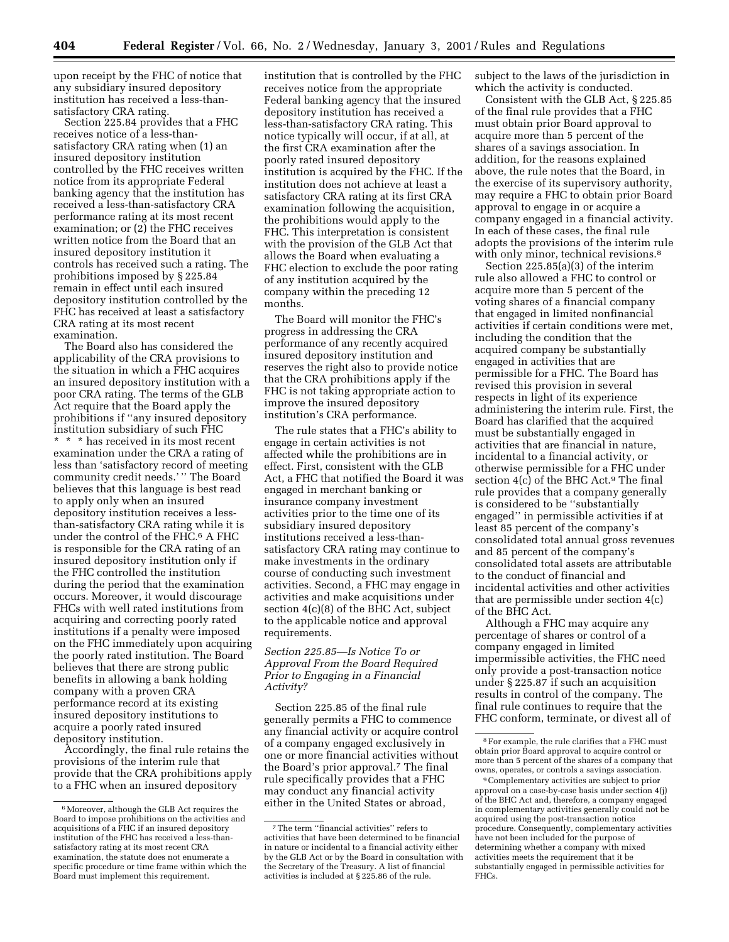upon receipt by the FHC of notice that any subsidiary insured depository institution has received a less-thansatisfactory CRA rating.

Section 225.84 provides that a FHC receives notice of a less-thansatisfactory CRA rating when (1) an insured depository institution controlled by the FHC receives written notice from its appropriate Federal banking agency that the institution has received a less-than-satisfactory CRA performance rating at its most recent examination; or (2) the FHC receives written notice from the Board that an insured depository institution it controls has received such a rating. The prohibitions imposed by § 225.84 remain in effect until each insured depository institution controlled by the FHC has received at least a satisfactory CRA rating at its most recent examination.

The Board also has considered the applicability of the CRA provisions to the situation in which a FHC acquires an insured depository institution with a poor CRA rating. The terms of the GLB Act require that the Board apply the prohibitions if ''any insured depository institution subsidiary of such FHC \* \* \* has received in its most recent examination under the CRA a rating of less than 'satisfactory record of meeting community credit needs.' '' The Board believes that this language is best read to apply only when an insured depository institution receives a lessthan-satisfactory CRA rating while it is under the control of the FHC.<sup>6</sup> A FHC is responsible for the CRA rating of an insured depository institution only if the FHC controlled the institution during the period that the examination occurs. Moreover, it would discourage FHCs with well rated institutions from acquiring and correcting poorly rated institutions if a penalty were imposed on the FHC immediately upon acquiring the poorly rated institution. The Board believes that there are strong public benefits in allowing a bank holding company with a proven CRA performance record at its existing insured depository institutions to acquire a poorly rated insured depository institution.

Accordingly, the final rule retains the provisions of the interim rule that provide that the CRA prohibitions apply to a FHC when an insured depository

institution that is controlled by the FHC receives notice from the appropriate Federal banking agency that the insured depository institution has received a less-than-satisfactory CRA rating. This notice typically will occur, if at all, at the first CRA examination after the poorly rated insured depository institution is acquired by the FHC. If the institution does not achieve at least a satisfactory CRA rating at its first CRA examination following the acquisition, the prohibitions would apply to the FHC. This interpretation is consistent with the provision of the GLB Act that allows the Board when evaluating a FHC election to exclude the poor rating of any institution acquired by the company within the preceding 12 months.

The Board will monitor the FHC's progress in addressing the CRA performance of any recently acquired insured depository institution and reserves the right also to provide notice that the CRA prohibitions apply if the FHC is not taking appropriate action to improve the insured depository institution's CRA performance.

The rule states that a FHC's ability to engage in certain activities is not affected while the prohibitions are in effect. First, consistent with the GLB Act, a FHC that notified the Board it was engaged in merchant banking or insurance company investment activities prior to the time one of its subsidiary insured depository institutions received a less-thansatisfactory CRA rating may continue to make investments in the ordinary course of conducting such investment activities. Second, a FHC may engage in activities and make acquisitions under section 4(c)(8) of the BHC Act, subject to the applicable notice and approval requirements.

# *Section 225.85—Is Notice To or Approval From the Board Required Prior to Engaging in a Financial Activity?*

Section 225.85 of the final rule generally permits a FHC to commence any financial activity or acquire control of a company engaged exclusively in one or more financial activities without the Board's prior approval.7 The final rule specifically provides that a FHC may conduct any financial activity either in the United States or abroad,

subject to the laws of the jurisdiction in which the activity is conducted.

Consistent with the GLB Act, § 225.85 of the final rule provides that a FHC must obtain prior Board approval to acquire more than 5 percent of the shares of a savings association. In addition, for the reasons explained above, the rule notes that the Board, in the exercise of its supervisory authority, may require a FHC to obtain prior Board approval to engage in or acquire a company engaged in a financial activity. In each of these cases, the final rule adopts the provisions of the interim rule with only minor, technical revisions.<sup>8</sup>

Section 225.85(a)(3) of the interim rule also allowed a FHC to control or acquire more than 5 percent of the voting shares of a financial company that engaged in limited nonfinancial activities if certain conditions were met, including the condition that the acquired company be substantially engaged in activities that are permissible for a FHC. The Board has revised this provision in several respects in light of its experience administering the interim rule. First, the Board has clarified that the acquired must be substantially engaged in activities that are financial in nature, incidental to a financial activity, or otherwise permissible for a FHC under section 4(c) of the BHC Act.9 The final rule provides that a company generally is considered to be ''substantially engaged'' in permissible activities if at least 85 percent of the company's consolidated total annual gross revenues and 85 percent of the company's consolidated total assets are attributable to the conduct of financial and incidental activities and other activities that are permissible under section 4(c) of the BHC Act.

Although a FHC may acquire any percentage of shares or control of a company engaged in limited impermissible activities, the FHC need only provide a post-transaction notice under § 225.87 if such an acquisition results in control of the company. The final rule continues to require that the FHC conform, terminate, or divest all of

<sup>6</sup>Moreover, although the GLB Act requires the Board to impose prohibitions on the activities and acquisitions of a FHC if an insured depository institution of the FHC has received a less-thansatisfactory rating at its most recent CRA examination, the statute does not enumerate a specific procedure or time frame within which the Board must implement this requirement.

<sup>7</sup>The term ''financial activities'' refers to activities that have been determined to be financial in nature or incidental to a financial activity either by the GLB Act or by the Board in consultation with the Secretary of the Treasury. A list of financial activities is included at § 225.86 of the rule.

<sup>8</sup>For example, the rule clarifies that a FHC must obtain prior Board approval to acquire control or more than 5 percent of the shares of a company that owns, operates, or controls a savings association.

<sup>9</sup>Complementary activities are subject to prior approval on a case-by-case basis under section 4(j) of the BHC Act and, therefore, a company engaged in complementary activities generally could not be acquired using the post-transaction notice procedure. Consequently, complementary activities have not been included for the purpose of determining whether a company with mixed activities meets the requirement that it be substantially engaged in permissible activities for FHCs.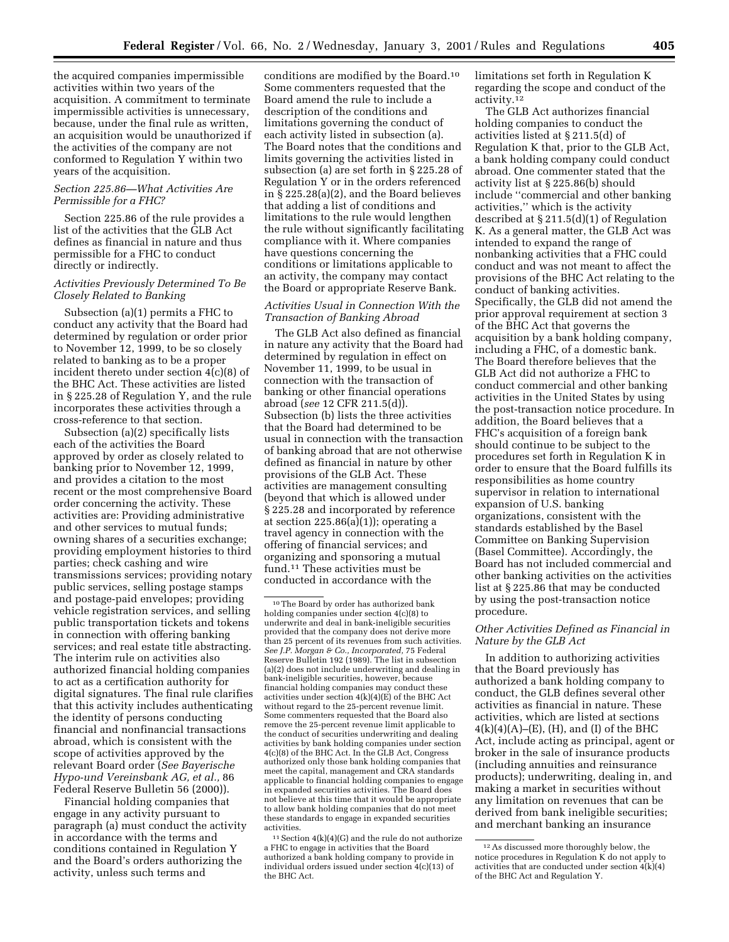the acquired companies impermissible activities within two years of the acquisition. A commitment to terminate impermissible activities is unnecessary, because, under the final rule as written, an acquisition would be unauthorized if the activities of the company are not conformed to Regulation Y within two years of the acquisition.

# *Section 225.86—What Activities Are Permissible for a FHC?*

Section 225.86 of the rule provides a list of the activities that the GLB Act defines as financial in nature and thus permissible for a FHC to conduct directly or indirectly.

## *Activities Previously Determined To Be Closely Related to Banking*

Subsection (a)(1) permits a FHC to conduct any activity that the Board had determined by regulation or order prior to November 12, 1999, to be so closely related to banking as to be a proper incident thereto under section 4(c)(8) of the BHC Act. These activities are listed in § 225.28 of Regulation Y, and the rule incorporates these activities through a cross-reference to that section.

Subsection (a)(2) specifically lists each of the activities the Board approved by order as closely related to banking prior to November 12, 1999, and provides a citation to the most recent or the most comprehensive Board order concerning the activity. These activities are: Providing administrative and other services to mutual funds; owning shares of a securities exchange; providing employment histories to third parties; check cashing and wire transmissions services; providing notary public services, selling postage stamps and postage-paid envelopes; providing vehicle registration services, and selling public transportation tickets and tokens in connection with offering banking services; and real estate title abstracting. The interim rule on activities also authorized financial holding companies to act as a certification authority for digital signatures. The final rule clarifies that this activity includes authenticating the identity of persons conducting financial and nonfinancial transactions abroad, which is consistent with the scope of activities approved by the relevant Board order (*See Bayerische Hypo-und Vereinsbank AG, et al.,* 86 Federal Reserve Bulletin 56 (2000)).

Financial holding companies that engage in any activity pursuant to paragraph (a) must conduct the activity in accordance with the terms and conditions contained in Regulation Y and the Board's orders authorizing the activity, unless such terms and

conditions are modified by the Board.10 Some commenters requested that the Board amend the rule to include a description of the conditions and limitations governing the conduct of each activity listed in subsection (a). The Board notes that the conditions and limits governing the activities listed in subsection (a) are set forth in § 225.28 of Regulation Y or in the orders referenced in § 225.28(a)(2), and the Board believes that adding a list of conditions and limitations to the rule would lengthen the rule without significantly facilitating compliance with it. Where companies have questions concerning the conditions or limitations applicable to an activity, the company may contact the Board or appropriate Reserve Bank.

# *Activities Usual in Connection With the Transaction of Banking Abroad*

The GLB Act also defined as financial in nature any activity that the Board had determined by regulation in effect on November 11, 1999, to be usual in connection with the transaction of banking or other financial operations abroad (*see* 12 CFR 211.5(d)). Subsection (b) lists the three activities that the Board had determined to be usual in connection with the transaction of banking abroad that are not otherwise defined as financial in nature by other provisions of the GLB Act. These activities are management consulting (beyond that which is allowed under § 225.28 and incorporated by reference at section  $225.86(a)(1)$ ; operating a travel agency in connection with the offering of financial services; and organizing and sponsoring a mutual fund.11 These activities must be conducted in accordance with the

 $11$  Section  $4(k)(4)(G)$  and the rule do not authorize a FHC to engage in activities that the Board authorized a bank holding company to provide in individual orders issued under section 4(c)(13) of the BHC Act.

limitations set forth in Regulation K regarding the scope and conduct of the activity.12

The GLB Act authorizes financial holding companies to conduct the activities listed at § 211.5(d) of Regulation K that, prior to the GLB Act, a bank holding company could conduct abroad. One commenter stated that the activity list at § 225.86(b) should include ''commercial and other banking activities,'' which is the activity described at § 211.5(d)(1) of Regulation K. As a general matter, the GLB Act was intended to expand the range of nonbanking activities that a FHC could conduct and was not meant to affect the provisions of the BHC Act relating to the conduct of banking activities. Specifically, the GLB did not amend the prior approval requirement at section 3 of the BHC Act that governs the acquisition by a bank holding company, including a FHC, of a domestic bank. The Board therefore believes that the GLB Act did not authorize a FHC to conduct commercial and other banking activities in the United States by using the post-transaction notice procedure. In addition, the Board believes that a FHC's acquisition of a foreign bank should continue to be subject to the procedures set forth in Regulation K in order to ensure that the Board fulfills its responsibilities as home country supervisor in relation to international expansion of U.S. banking organizations, consistent with the standards established by the Basel Committee on Banking Supervision (Basel Committee). Accordingly, the Board has not included commercial and other banking activities on the activities list at § 225.86 that may be conducted by using the post-transaction notice procedure.

# *Other Activities Defined as Financial in Nature by the GLB Act*

In addition to authorizing activities that the Board previously has authorized a bank holding company to conduct, the GLB defines several other activities as financial in nature. These activities, which are listed at sections  $4(k)(4)(A)$ –(E), (H), and (I) of the BHC Act, include acting as principal, agent or broker in the sale of insurance products (including annuities and reinsurance products); underwriting, dealing in, and making a market in securities without any limitation on revenues that can be derived from bank ineligible securities; and merchant banking an insurance

<sup>10</sup>The Board by order has authorized bank holding companies under section 4(c)(8) to underwrite and deal in bank-ineligible securities provided that the company does not derive more than 25 percent of its revenues from such activities. *See J.P. Morgan & Co., Incorporated,* 75 Federal Reserve Bulletin 192 (1989). The list in subsection (a)(2) does not include underwriting and dealing in bank-ineligible securities, however, because financial holding companies may conduct these activities under section  $4(k)(4)(E)$  of the BHC Act without regard to the 25-percent revenue limit. Some commenters requested that the Board also remove the 25-percent revenue limit applicable to the conduct of securities underwriting and dealing activities by bank holding companies under section 4(c)(8) of the BHC Act. In the GLB Act, Congress authorized only those bank holding companies that meet the capital, management and CRA standards applicable to financial holding companies to engage in expanded securities activities. The Board does not believe at this time that it would be appropriate to allow bank holding companies that do not meet these standards to engage in expanded securities activities.

<sup>12</sup>As discussed more thoroughly below, the notice procedures in Regulation K do not apply to activities that are conducted under section  $4(k)(4)$ of the BHC Act and Regulation Y.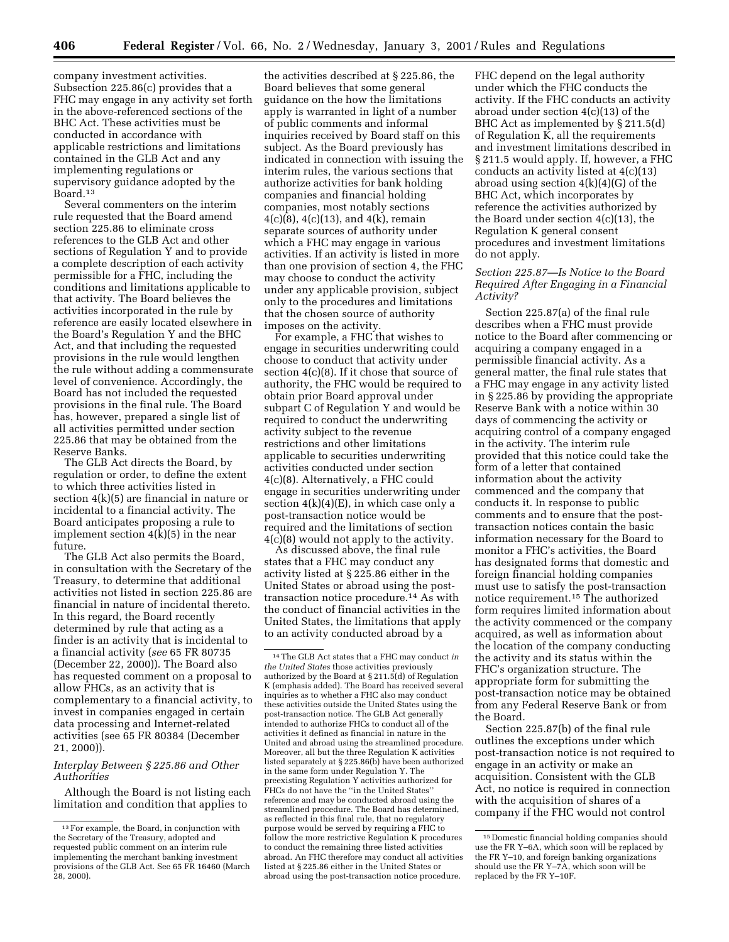company investment activities. Subsection 225.86(c) provides that a FHC may engage in any activity set forth in the above-referenced sections of the BHC Act. These activities must be conducted in accordance with applicable restrictions and limitations contained in the GLB Act and any implementing regulations or supervisory guidance adopted by the Board.13

Several commenters on the interim rule requested that the Board amend section 225.86 to eliminate cross references to the GLB Act and other sections of Regulation Y and to provide a complete description of each activity permissible for a FHC, including the conditions and limitations applicable to that activity. The Board believes the activities incorporated in the rule by reference are easily located elsewhere in the Board's Regulation Y and the BHC Act, and that including the requested provisions in the rule would lengthen the rule without adding a commensurate level of convenience. Accordingly, the Board has not included the requested provisions in the final rule. The Board has, however, prepared a single list of all activities permitted under section 225.86 that may be obtained from the Reserve Banks.

The GLB Act directs the Board, by regulation or order, to define the extent to which three activities listed in section 4(k)(5) are financial in nature or incidental to a financial activity. The Board anticipates proposing a rule to implement section  $4(\bar{k})(5)$  in the near future.

The GLB Act also permits the Board, in consultation with the Secretary of the Treasury, to determine that additional activities not listed in section 225.86 are financial in nature of incidental thereto. In this regard, the Board recently determined by rule that acting as a finder is an activity that is incidental to a financial activity (*see* 65 FR 80735 (December 22, 2000)). The Board also has requested comment on a proposal to allow FHCs, as an activity that is complementary to a financial activity, to invest in companies engaged in certain data processing and Internet-related activities (see 65 FR 80384 (December 21, 2000)).

### *Interplay Between § 225.86 and Other Authorities*

Although the Board is not listing each limitation and condition that applies to

the activities described at § 225.86, the Board believes that some general guidance on the how the limitations apply is warranted in light of a number of public comments and informal inquiries received by Board staff on this subject. As the Board previously has indicated in connection with issuing the interim rules, the various sections that authorize activities for bank holding companies and financial holding companies, most notably sections  $4(c)(8), 4(c)(13),$  and  $4(k)$ , remain separate sources of authority under which a FHC may engage in various activities. If an activity is listed in more than one provision of section 4, the FHC may choose to conduct the activity under any applicable provision, subject only to the procedures and limitations that the chosen source of authority imposes on the activity.

For example, a FHC that wishes to engage in securities underwriting could choose to conduct that activity under section 4(c)(8). If it chose that source of authority, the FHC would be required to obtain prior Board approval under subpart C of Regulation Y and would be required to conduct the underwriting activity subject to the revenue restrictions and other limitations applicable to securities underwriting activities conducted under section 4(c)(8). Alternatively, a FHC could engage in securities underwriting under section  $4(k)(4)(E)$ , in which case only a post-transaction notice would be required and the limitations of section 4(c)(8) would not apply to the activity.

As discussed above, the final rule states that a FHC may conduct any activity listed at § 225.86 either in the United States or abroad using the posttransaction notice procedure.14 As with the conduct of financial activities in the United States, the limitations that apply to an activity conducted abroad by a

FHC depend on the legal authority under which the FHC conducts the activity. If the FHC conducts an activity abroad under section 4(c)(13) of the BHC Act as implemented by § 211.5(d) of Regulation K, all the requirements and investment limitations described in § 211.5 would apply. If, however, a FHC conducts an activity listed at 4(c)(13) abroad using section  $4(k)(4)(G)$  of the BHC Act, which incorporates by reference the activities authorized by the Board under section 4(c)(13), the Regulation K general consent procedures and investment limitations do not apply.

# *Section 225.87—Is Notice to the Board Required After Engaging in a Financial Activity?*

Section 225.87(a) of the final rule describes when a FHC must provide notice to the Board after commencing or acquiring a company engaged in a permissible financial activity. As a general matter, the final rule states that a FHC may engage in any activity listed in § 225.86 by providing the appropriate Reserve Bank with a notice within 30 days of commencing the activity or acquiring control of a company engaged in the activity. The interim rule provided that this notice could take the form of a letter that contained information about the activity commenced and the company that conducts it. In response to public comments and to ensure that the posttransaction notices contain the basic information necessary for the Board to monitor a FHC's activities, the Board has designated forms that domestic and foreign financial holding companies must use to satisfy the post-transaction notice requirement.15 The authorized form requires limited information about the activity commenced or the company acquired, as well as information about the location of the company conducting the activity and its status within the FHC's organization structure. The appropriate form for submitting the post-transaction notice may be obtained from any Federal Reserve Bank or from the Board.

Section 225.87(b) of the final rule outlines the exceptions under which post-transaction notice is not required to engage in an activity or make an acquisition. Consistent with the GLB Act, no notice is required in connection with the acquisition of shares of a company if the FHC would not control

<sup>13</sup>For example, the Board, in conjunction with the Secretary of the Treasury, adopted and requested public comment on an interim rule implementing the merchant banking investment provisions of the GLB Act. See 65 FR 16460 (March  $28, 2000$ ).

<sup>14</sup>The GLB Act states that a FHC may conduct *in the United States* those activities previously authorized by the Board at § 211.5(d) of Regulation K (emphasis added). The Board has received several inquiries as to whether a FHC also may conduct these activities outside the United States using the post-transaction notice. The GLB Act generally intended to authorize FHCs to conduct all of the activities it defined as financial in nature in the United and abroad using the streamlined procedure. Moreover, all but the three Regulation K activities listed separately at § 225.86(b) have been authorized in the same form under Regulation Y. The preexisting Regulation Y activities authorized for FHCs do not have the ''in the United States'' reference and may be conducted abroad using the streamlined procedure. The Board has determined, as reflected in this final rule, that no regulatory purpose would be served by requiring a FHC to follow the more restrictive Regulation K procedures to conduct the remaining three listed activities abroad. An FHC therefore may conduct all activities listed at § 225.86 either in the United States or abroad using the post-transaction notice procedure.

<sup>15</sup> Domestic financial holding companies should use the FR Y–6A, which soon will be replaced by the FR Y–10, and foreign banking organizations should use the FR Y–7A, which soon will be replaced by the FR Y–10F.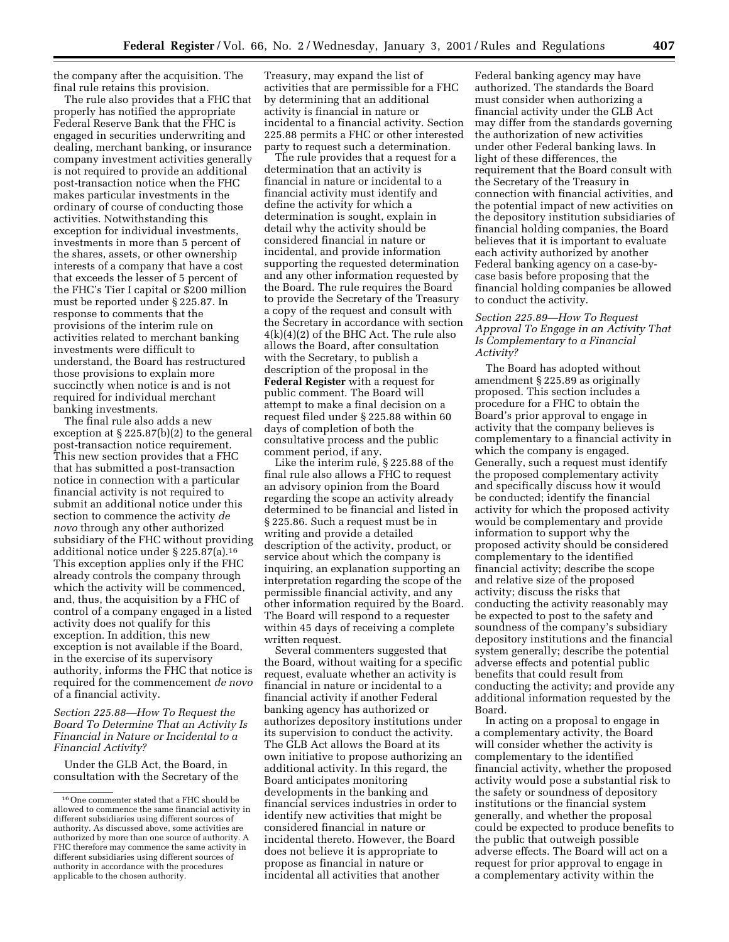the company after the acquisition. The final rule retains this provision.

The rule also provides that a FHC that properly has notified the appropriate Federal Reserve Bank that the FHC is engaged in securities underwriting and dealing, merchant banking, or insurance company investment activities generally is not required to provide an additional post-transaction notice when the FHC makes particular investments in the ordinary of course of conducting those activities. Notwithstanding this exception for individual investments, investments in more than 5 percent of the shares, assets, or other ownership interests of a company that have a cost that exceeds the lesser of 5 percent of the FHC's Tier I capital or \$200 million must be reported under § 225.87. In response to comments that the provisions of the interim rule on activities related to merchant banking investments were difficult to understand, the Board has restructured those provisions to explain more succinctly when notice is and is not required for individual merchant banking investments.

The final rule also adds a new exception at § 225.87(b)(2) to the general post-transaction notice requirement. This new section provides that a FHC that has submitted a post-transaction notice in connection with a particular financial activity is not required to submit an additional notice under this section to commence the activity *de novo* through any other authorized subsidiary of the FHC without providing additional notice under § 225.87(a).16 This exception applies only if the FHC already controls the company through which the activity will be commenced, and, thus, the acquisition by a FHC of control of a company engaged in a listed activity does not qualify for this exception. In addition, this new exception is not available if the Board, in the exercise of its supervisory authority, informs the FHC that notice is required for the commencement *de novo* of a financial activity.

*Section 225.88—How To Request the Board To Determine That an Activity Is Financial in Nature or Incidental to a Financial Activity?*

Under the GLB Act, the Board, in consultation with the Secretary of the

Treasury, may expand the list of activities that are permissible for a FHC by determining that an additional activity is financial in nature or incidental to a financial activity. Section 225.88 permits a FHC or other interested party to request such a determination.

The rule provides that a request for a determination that an activity is financial in nature or incidental to a financial activity must identify and define the activity for which a determination is sought, explain in detail why the activity should be considered financial in nature or incidental, and provide information supporting the requested determination and any other information requested by the Board. The rule requires the Board to provide the Secretary of the Treasury a copy of the request and consult with the Secretary in accordance with section 4(k)(4)(2) of the BHC Act. The rule also allows the Board, after consultation with the Secretary, to publish a description of the proposal in the **Federal Register** with a request for public comment. The Board will attempt to make a final decision on a request filed under § 225.88 within 60 days of completion of both the consultative process and the public comment period, if any.

Like the interim rule, § 225.88 of the final rule also allows a FHC to request an advisory opinion from the Board regarding the scope an activity already determined to be financial and listed in § 225.86. Such a request must be in writing and provide a detailed description of the activity, product, or service about which the company is inquiring, an explanation supporting an interpretation regarding the scope of the permissible financial activity, and any other information required by the Board. The Board will respond to a requester within 45 days of receiving a complete written request.

Several commenters suggested that the Board, without waiting for a specific request, evaluate whether an activity is financial in nature or incidental to a financial activity if another Federal banking agency has authorized or authorizes depository institutions under its supervision to conduct the activity. The GLB Act allows the Board at its own initiative to propose authorizing an additional activity. In this regard, the Board anticipates monitoring developments in the banking and financial services industries in order to identify new activities that might be considered financial in nature or incidental thereto. However, the Board does not believe it is appropriate to propose as financial in nature or incidental all activities that another

Federal banking agency may have authorized. The standards the Board must consider when authorizing a financial activity under the GLB Act may differ from the standards governing the authorization of new activities under other Federal banking laws. In light of these differences, the requirement that the Board consult with the Secretary of the Treasury in connection with financial activities, and the potential impact of new activities on the depository institution subsidiaries of financial holding companies, the Board believes that it is important to evaluate each activity authorized by another Federal banking agency on a case-bycase basis before proposing that the financial holding companies be allowed to conduct the activity.

## *Section 225.89—How To Request Approval To Engage in an Activity That Is Complementary to a Financial Activity?*

The Board has adopted without amendment § 225.89 as originally proposed. This section includes a procedure for a FHC to obtain the Board's prior approval to engage in activity that the company believes is complementary to a financial activity in which the company is engaged. Generally, such a request must identify the proposed complementary activity and specifically discuss how it would be conducted; identify the financial activity for which the proposed activity would be complementary and provide information to support why the proposed activity should be considered complementary to the identified financial activity; describe the scope and relative size of the proposed activity; discuss the risks that conducting the activity reasonably may be expected to post to the safety and soundness of the company's subsidiary depository institutions and the financial system generally; describe the potential adverse effects and potential public benefits that could result from conducting the activity; and provide any additional information requested by the Board.

In acting on a proposal to engage in a complementary activity, the Board will consider whether the activity is complementary to the identified financial activity, whether the proposed activity would pose a substantial risk to the safety or soundness of depository institutions or the financial system generally, and whether the proposal could be expected to produce benefits to the public that outweigh possible adverse effects. The Board will act on a request for prior approval to engage in a complementary activity within the

<sup>16</sup>One commenter stated that a FHC should be allowed to commence the same financial activity in different subsidiaries using different sources of authority. As discussed above, some activities are authorized by more than one source of authority. A FHC therefore may commence the same activity in different subsidiaries using different sources of authority in accordance with the procedures applicable to the chosen authority.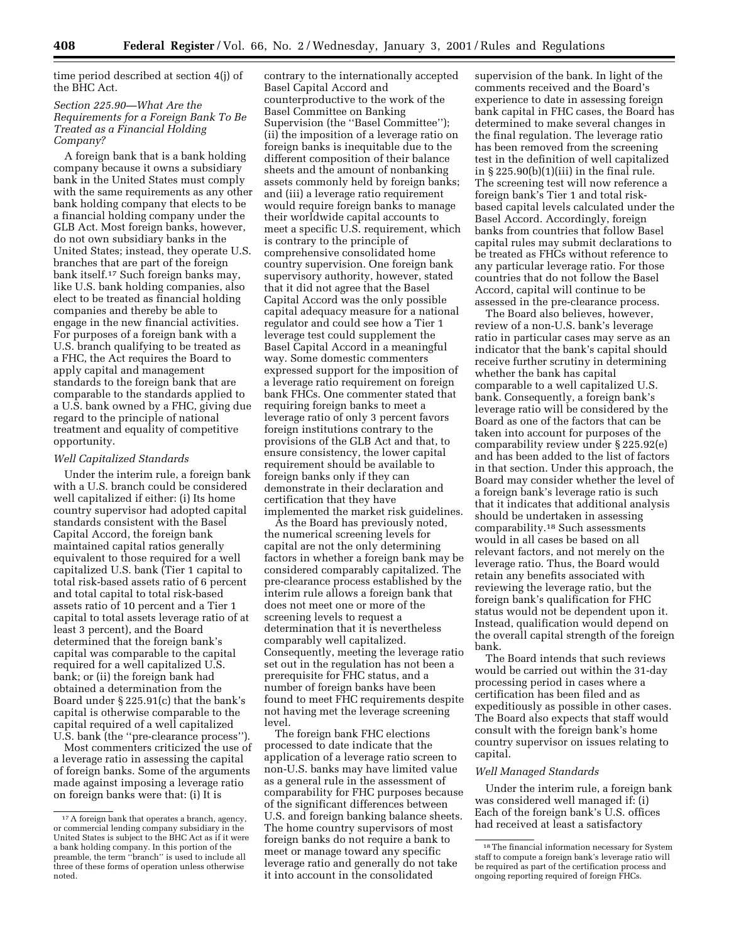time period described at section 4(j) of the BHC Act.

# *Section 225.90—What Are the Requirements for a Foreign Bank To Be Treated as a Financial Holding Company?*

A foreign bank that is a bank holding company because it owns a subsidiary bank in the United States must comply with the same requirements as any other bank holding company that elects to be a financial holding company under the GLB Act. Most foreign banks, however, do not own subsidiary banks in the United States; instead, they operate U.S. branches that are part of the foreign bank itself.17 Such foreign banks may, like U.S. bank holding companies, also elect to be treated as financial holding companies and thereby be able to engage in the new financial activities. For purposes of a foreign bank with a U.S. branch qualifying to be treated as a FHC, the Act requires the Board to apply capital and management standards to the foreign bank that are comparable to the standards applied to a U.S. bank owned by a FHC, giving due regard to the principle of national treatment and equality of competitive opportunity.

#### *Well Capitalized Standards*

Under the interim rule, a foreign bank with a U.S. branch could be considered well capitalized if either: (i) Its home country supervisor had adopted capital standards consistent with the Basel Capital Accord, the foreign bank maintained capital ratios generally equivalent to those required for a well capitalized U.S. bank (Tier 1 capital to total risk-based assets ratio of 6 percent and total capital to total risk-based assets ratio of 10 percent and a Tier 1 capital to total assets leverage ratio of at least 3 percent), and the Board determined that the foreign bank's capital was comparable to the capital required for a well capitalized U.S. bank; or (ii) the foreign bank had obtained a determination from the Board under § 225.91(c) that the bank's capital is otherwise comparable to the capital required of a well capitalized U.S. bank (the ''pre-clearance process'').

Most commenters criticized the use of a leverage ratio in assessing the capital of foreign banks. Some of the arguments made against imposing a leverage ratio on foreign banks were that: (i) It is

contrary to the internationally accepted Basel Capital Accord and counterproductive to the work of the Basel Committee on Banking Supervision (the ''Basel Committee''); (ii) the imposition of a leverage ratio on foreign banks is inequitable due to the different composition of their balance sheets and the amount of nonbanking assets commonly held by foreign banks; and (iii) a leverage ratio requirement would require foreign banks to manage their worldwide capital accounts to meet a specific U.S. requirement, which is contrary to the principle of comprehensive consolidated home country supervision. One foreign bank supervisory authority, however, stated that it did not agree that the Basel Capital Accord was the only possible capital adequacy measure for a national regulator and could see how a Tier 1 leverage test could supplement the Basel Capital Accord in a meaningful way. Some domestic commenters expressed support for the imposition of a leverage ratio requirement on foreign bank FHCs. One commenter stated that requiring foreign banks to meet a leverage ratio of only 3 percent favors foreign institutions contrary to the provisions of the GLB Act and that, to ensure consistency, the lower capital requirement should be available to foreign banks only if they can demonstrate in their declaration and certification that they have implemented the market risk guidelines.

As the Board has previously noted, the numerical screening levels for capital are not the only determining factors in whether a foreign bank may be considered comparably capitalized. The pre-clearance process established by the interim rule allows a foreign bank that does not meet one or more of the screening levels to request a determination that it is nevertheless comparably well capitalized. Consequently, meeting the leverage ratio set out in the regulation has not been a prerequisite for FHC status, and a number of foreign banks have been found to meet FHC requirements despite not having met the leverage screening level.

The foreign bank FHC elections processed to date indicate that the application of a leverage ratio screen to non-U.S. banks may have limited value as a general rule in the assessment of comparability for FHC purposes because of the significant differences between U.S. and foreign banking balance sheets. The home country supervisors of most foreign banks do not require a bank to meet or manage toward any specific leverage ratio and generally do not take it into account in the consolidated

supervision of the bank. In light of the comments received and the Board's experience to date in assessing foreign bank capital in FHC cases, the Board has determined to make several changes in the final regulation. The leverage ratio has been removed from the screening test in the definition of well capitalized in  $\S 225.90(b)(1)(iii)$  in the final rule. The screening test will now reference a foreign bank's Tier 1 and total riskbased capital levels calculated under the Basel Accord. Accordingly, foreign banks from countries that follow Basel capital rules may submit declarations to be treated as FHCs without reference to any particular leverage ratio. For those countries that do not follow the Basel Accord, capital will continue to be assessed in the pre-clearance process.

The Board also believes, however, review of a non-U.S. bank's leverage ratio in particular cases may serve as an indicator that the bank's capital should receive further scrutiny in determining whether the bank has capital comparable to a well capitalized U.S. bank. Consequently, a foreign bank's leverage ratio will be considered by the Board as one of the factors that can be taken into account for purposes of the comparability review under § 225.92(e) and has been added to the list of factors in that section. Under this approach, the Board may consider whether the level of a foreign bank's leverage ratio is such that it indicates that additional analysis should be undertaken in assessing comparability.18 Such assessments would in all cases be based on all relevant factors, and not merely on the leverage ratio. Thus, the Board would retain any benefits associated with reviewing the leverage ratio, but the foreign bank's qualification for FHC status would not be dependent upon it. Instead, qualification would depend on the overall capital strength of the foreign bank.

The Board intends that such reviews would be carried out within the 31-day processing period in cases where a certification has been filed and as expeditiously as possible in other cases. The Board also expects that staff would consult with the foreign bank's home country supervisor on issues relating to capital.

#### *Well Managed Standards*

Under the interim rule, a foreign bank was considered well managed if: (i) Each of the foreign bank's U.S. offices had received at least a satisfactory

<sup>17</sup>A foreign bank that operates a branch, agency, or commercial lending company subsidiary in the United States is subject to the BHC Act as if it were a bank holding company. In this portion of the preamble, the term ''branch'' is used to include all three of these forms of operation unless otherwise noted.

<sup>18</sup>The financial information necessary for System staff to compute a foreign bank's leverage ratio will be required as part of the certification process and ongoing reporting required of foreign FHCs.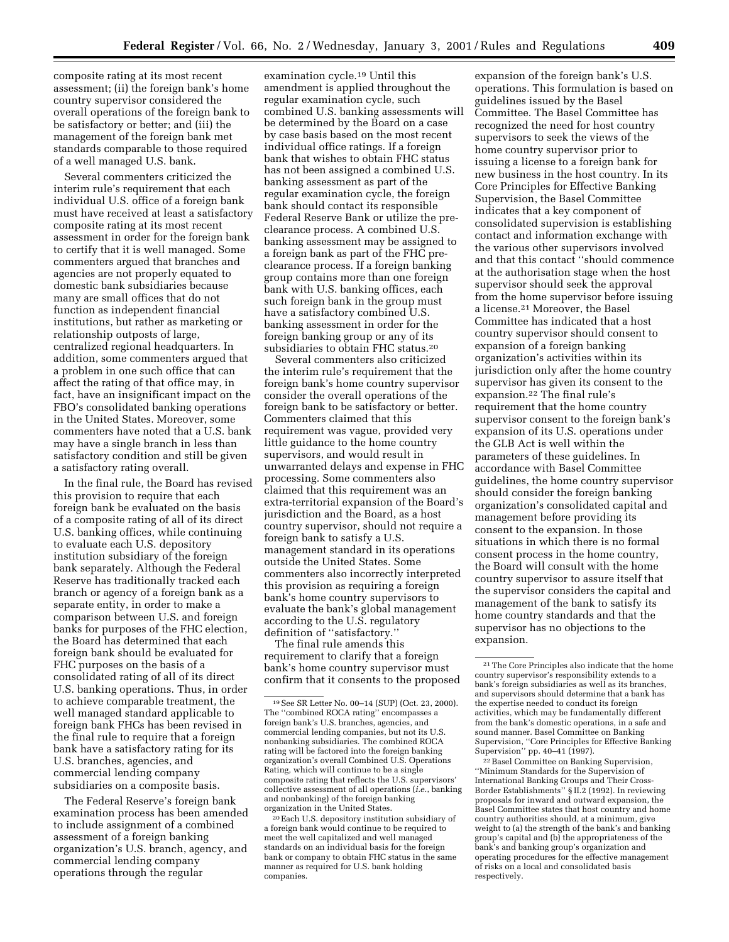composite rating at its most recent assessment; (ii) the foreign bank's home country supervisor considered the overall operations of the foreign bank to be satisfactory or better; and (iii) the management of the foreign bank met standards comparable to those required of a well managed U.S. bank.

Several commenters criticized the interim rule's requirement that each individual U.S. office of a foreign bank must have received at least a satisfactory composite rating at its most recent assessment in order for the foreign bank to certify that it is well managed. Some commenters argued that branches and agencies are not properly equated to domestic bank subsidiaries because many are small offices that do not function as independent financial institutions, but rather as marketing or relationship outposts of large, centralized regional headquarters. In addition, some commenters argued that a problem in one such office that can affect the rating of that office may, in fact, have an insignificant impact on the FBO's consolidated banking operations in the United States. Moreover, some commenters have noted that a U.S. bank may have a single branch in less than satisfactory condition and still be given a satisfactory rating overall.

In the final rule, the Board has revised this provision to require that each foreign bank be evaluated on the basis of a composite rating of all of its direct U.S. banking offices, while continuing to evaluate each U.S. depository institution subsidiary of the foreign bank separately. Although the Federal Reserve has traditionally tracked each branch or agency of a foreign bank as a separate entity, in order to make a comparison between U.S. and foreign banks for purposes of the FHC election, the Board has determined that each foreign bank should be evaluated for FHC purposes on the basis of a consolidated rating of all of its direct U.S. banking operations. Thus, in order to achieve comparable treatment, the well managed standard applicable to foreign bank FHCs has been revised in the final rule to require that a foreign bank have a satisfactory rating for its U.S. branches, agencies, and commercial lending company subsidiaries on a composite basis.

The Federal Reserve's foreign bank examination process has been amended to include assignment of a combined assessment of a foreign banking organization's U.S. branch, agency, and commercial lending company operations through the regular

examination cycle.19 Until this amendment is applied throughout the regular examination cycle, such combined U.S. banking assessments will be determined by the Board on a case by case basis based on the most recent individual office ratings. If a foreign bank that wishes to obtain FHC status has not been assigned a combined U.S. banking assessment as part of the regular examination cycle, the foreign bank should contact its responsible Federal Reserve Bank or utilize the preclearance process. A combined U.S. banking assessment may be assigned to a foreign bank as part of the FHC preclearance process. If a foreign banking group contains more than one foreign bank with U.S. banking offices, each such foreign bank in the group must have a satisfactory combined U.S. banking assessment in order for the foreign banking group or any of its subsidiaries to obtain FHC status.20

Several commenters also criticized the interim rule's requirement that the foreign bank's home country supervisor consider the overall operations of the foreign bank to be satisfactory or better. Commenters claimed that this requirement was vague, provided very little guidance to the home country supervisors, and would result in unwarranted delays and expense in FHC processing. Some commenters also claimed that this requirement was an extra-territorial expansion of the Board's jurisdiction and the Board, as a host country supervisor, should not require a foreign bank to satisfy a U.S. management standard in its operations outside the United States. Some commenters also incorrectly interpreted this provision as requiring a foreign bank's home country supervisors to evaluate the bank's global management according to the U.S. regulatory definition of ''satisfactory.''

The final rule amends this requirement to clarify that a foreign bank's home country supervisor must confirm that it consents to the proposed

20Each U.S. depository institution subsidiary of a foreign bank would continue to be required to meet the well capitalized and well managed standards on an individual basis for the foreign bank or company to obtain FHC status in the same manner as required for U.S. bank holding companies.

expansion of the foreign bank's U.S. operations. This formulation is based on guidelines issued by the Basel Committee. The Basel Committee has recognized the need for host country supervisors to seek the views of the home country supervisor prior to issuing a license to a foreign bank for new business in the host country. In its Core Principles for Effective Banking Supervision, the Basel Committee indicates that a key component of consolidated supervision is establishing contact and information exchange with the various other supervisors involved and that this contact ''should commence at the authorisation stage when the host supervisor should seek the approval from the home supervisor before issuing a license.21 Moreover, the Basel Committee has indicated that a host country supervisor should consent to expansion of a foreign banking organization's activities within its jurisdiction only after the home country supervisor has given its consent to the expansion.22 The final rule's requirement that the home country supervisor consent to the foreign bank's expansion of its U.S. operations under the GLB Act is well within the parameters of these guidelines. In accordance with Basel Committee guidelines, the home country supervisor should consider the foreign banking organization's consolidated capital and management before providing its consent to the expansion. In those situations in which there is no formal consent process in the home country, the Board will consult with the home country supervisor to assure itself that the supervisor considers the capital and management of the bank to satisfy its home country standards and that the supervisor has no objections to the expansion.

22Basel Committee on Banking Supervision, ''Minimum Standards for the Supervision of International Banking Groups and Their Cross-Border Establishments'' § II.2 (1992). In reviewing proposals for inward and outward expansion, the Basel Committee states that host country and home country authorities should, at a minimum, give weight to (a) the strength of the bank's and banking group's capital and (b) the appropriateness of the bank's and banking group's organization and operating procedures for the effective management of risks on a local and consolidated basis respectively.

<sup>19</sup>See SR Letter No. 00–14 (SUP) (Oct. 23, 2000). The ''combined ROCA rating'' encompasses a foreign bank's U.S. branches, agencies, and commercial lending companies, but not its U.S. nonbanking subsidiaries. The combined ROCA rating will be factored into the foreign banking organization's overall Combined U.S. Operations Rating, which will continue to be a single composite rating that reflects the U.S. supervisors' collective assessment of all operations (*i.e.*, banking and nonbanking) of the foreign banking organization in the United States.

<sup>21</sup>The Core Principles also indicate that the home country supervisor's responsibility extends to a bank's foreign subsidiaries as well as its branches, and supervisors should determine that a bank has the expertise needed to conduct its foreign activities, which may be fundamentally different from the bank's domestic operations, in a safe and sound manner. Basel Committee on Banking Supervision, ''Core Principles for Effective Banking Supervision'' pp. 40–41 (1997).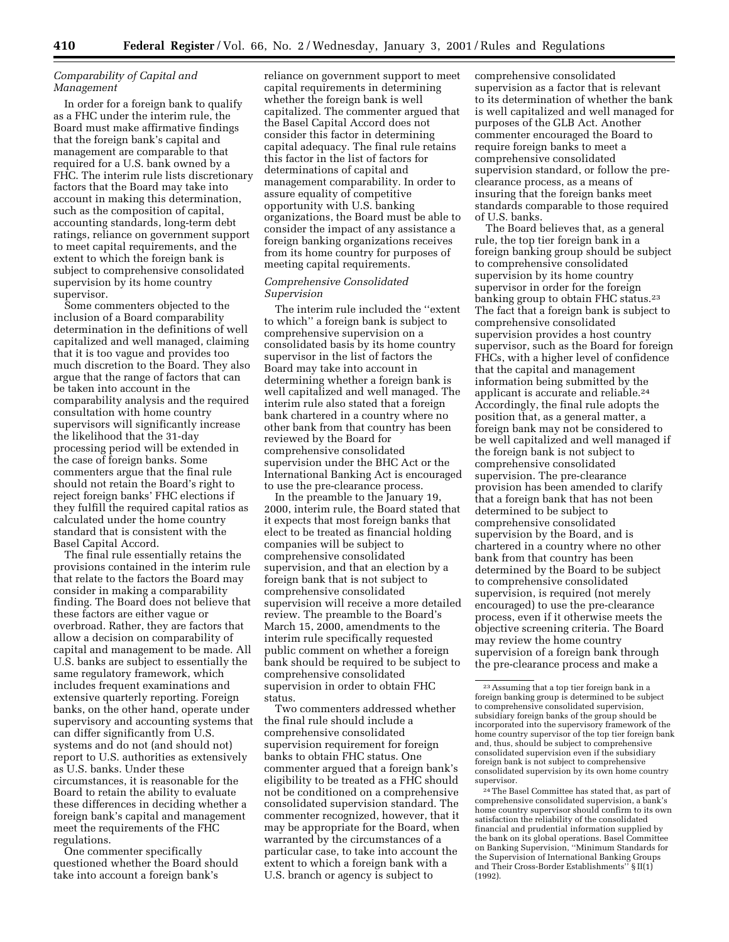# *Comparability of Capital and Management*

In order for a foreign bank to qualify as a FHC under the interim rule, the Board must make affirmative findings that the foreign bank's capital and management are comparable to that required for a U.S. bank owned by a FHC. The interim rule lists discretionary factors that the Board may take into account in making this determination, such as the composition of capital, accounting standards, long-term debt ratings, reliance on government support to meet capital requirements, and the extent to which the foreign bank is subject to comprehensive consolidated supervision by its home country supervisor.

Some commenters objected to the inclusion of a Board comparability determination in the definitions of well capitalized and well managed, claiming that it is too vague and provides too much discretion to the Board. They also argue that the range of factors that can be taken into account in the comparability analysis and the required consultation with home country supervisors will significantly increase the likelihood that the 31-day processing period will be extended in the case of foreign banks. Some commenters argue that the final rule should not retain the Board's right to reject foreign banks' FHC elections if they fulfill the required capital ratios as calculated under the home country standard that is consistent with the Basel Capital Accord.

The final rule essentially retains the provisions contained in the interim rule that relate to the factors the Board may consider in making a comparability finding. The Board does not believe that these factors are either vague or overbroad. Rather, they are factors that allow a decision on comparability of capital and management to be made. All U.S. banks are subject to essentially the same regulatory framework, which includes frequent examinations and extensive quarterly reporting. Foreign banks, on the other hand, operate under supervisory and accounting systems that can differ significantly from U.S. systems and do not (and should not) report to U.S. authorities as extensively as U.S. banks. Under these circumstances, it is reasonable for the Board to retain the ability to evaluate these differences in deciding whether a foreign bank's capital and management meet the requirements of the FHC regulations.

One commenter specifically questioned whether the Board should take into account a foreign bank's

reliance on government support to meet capital requirements in determining whether the foreign bank is well capitalized. The commenter argued that the Basel Capital Accord does not consider this factor in determining capital adequacy. The final rule retains this factor in the list of factors for determinations of capital and management comparability. In order to assure equality of competitive opportunity with U.S. banking organizations, the Board must be able to consider the impact of any assistance a foreign banking organizations receives from its home country for purposes of meeting capital requirements.

### *Comprehensive Consolidated Supervision*

The interim rule included the ''extent to which'' a foreign bank is subject to comprehensive supervision on a consolidated basis by its home country supervisor in the list of factors the Board may take into account in determining whether a foreign bank is well capitalized and well managed. The interim rule also stated that a foreign bank chartered in a country where no other bank from that country has been reviewed by the Board for comprehensive consolidated supervision under the BHC Act or the International Banking Act is encouraged to use the pre-clearance process.

In the preamble to the January 19, 2000, interim rule, the Board stated that it expects that most foreign banks that elect to be treated as financial holding companies will be subject to comprehensive consolidated supervision, and that an election by a foreign bank that is not subject to comprehensive consolidated supervision will receive a more detailed review. The preamble to the Board's March 15, 2000, amendments to the interim rule specifically requested public comment on whether a foreign bank should be required to be subject to comprehensive consolidated supervision in order to obtain FHC status.

Two commenters addressed whether the final rule should include a comprehensive consolidated supervision requirement for foreign banks to obtain FHC status. One commenter argued that a foreign bank's eligibility to be treated as a FHC should not be conditioned on a comprehensive consolidated supervision standard. The commenter recognized, however, that it may be appropriate for the Board, when warranted by the circumstances of a particular case, to take into account the extent to which a foreign bank with a U.S. branch or agency is subject to

comprehensive consolidated supervision as a factor that is relevant to its determination of whether the bank is well capitalized and well managed for purposes of the GLB Act. Another commenter encouraged the Board to require foreign banks to meet a comprehensive consolidated supervision standard, or follow the preclearance process, as a means of insuring that the foreign banks meet standards comparable to those required of U.S. banks.

The Board believes that, as a general rule, the top tier foreign bank in a foreign banking group should be subject to comprehensive consolidated supervision by its home country supervisor in order for the foreign banking group to obtain FHC status.<sup>23</sup> The fact that a foreign bank is subject to comprehensive consolidated supervision provides a host country supervisor, such as the Board for foreign FHCs, with a higher level of confidence that the capital and management information being submitted by the applicant is accurate and reliable.24 Accordingly, the final rule adopts the position that, as a general matter, a foreign bank may not be considered to be well capitalized and well managed if the foreign bank is not subject to comprehensive consolidated supervision. The pre-clearance provision has been amended to clarify that a foreign bank that has not been determined to be subject to comprehensive consolidated supervision by the Board, and is chartered in a country where no other bank from that country has been determined by the Board to be subject to comprehensive consolidated supervision, is required (not merely encouraged) to use the pre-clearance process, even if it otherwise meets the objective screening criteria. The Board may review the home country supervision of a foreign bank through the pre-clearance process and make a

24The Basel Committee has stated that, as part of comprehensive consolidated supervision, a bank's home country supervisor should confirm to its own satisfaction the reliability of the consolidated financial and prudential information supplied by the bank on its global operations. Basel Committee on Banking Supervision, ''Minimum Standards for the Supervision of International Banking Groups and Their Cross-Border Establishments'' § II(1) (1992).

<sup>23</sup>Assuming that a top tier foreign bank in a foreign banking group is determined to be subject to comprehensive consolidated supervision, subsidiary foreign banks of the group should be incorporated into the supervisory framework of the home country supervisor of the top tier foreign bank and, thus, should be subject to comprehensive consolidated supervision even if the subsidiary foreign bank is not subject to comprehensive consolidated supervision by its own home country supervisor.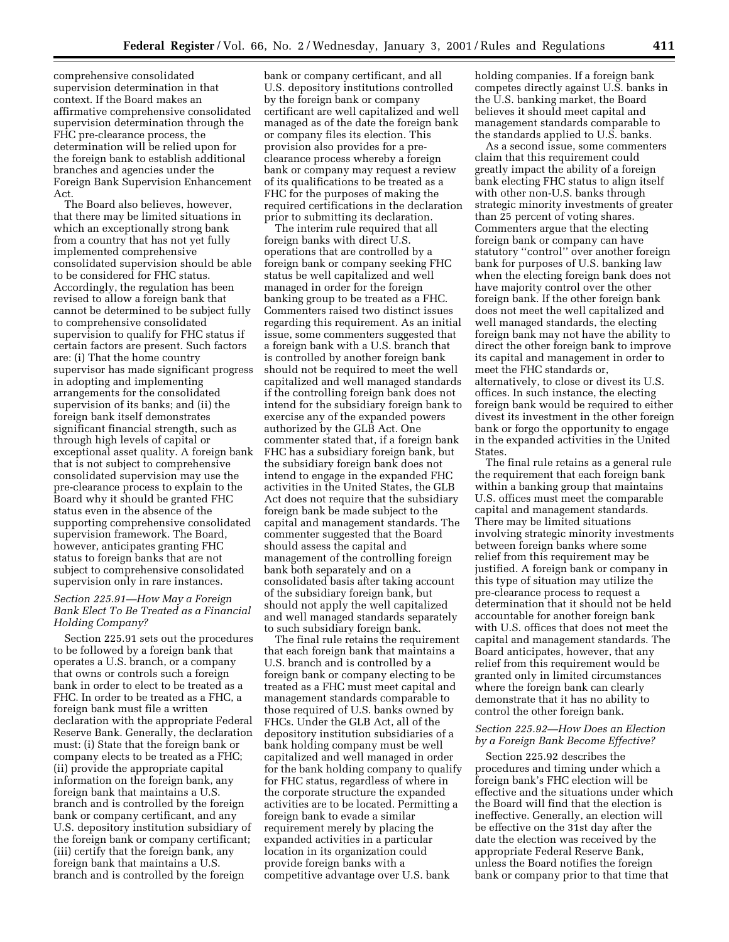comprehensive consolidated supervision determination in that context. If the Board makes an affirmative comprehensive consolidated supervision determination through the FHC pre-clearance process, the determination will be relied upon for the foreign bank to establish additional branches and agencies under the Foreign Bank Supervision Enhancement Act.

The Board also believes, however, that there may be limited situations in which an exceptionally strong bank from a country that has not yet fully implemented comprehensive consolidated supervision should be able to be considered for FHC status. Accordingly, the regulation has been revised to allow a foreign bank that cannot be determined to be subject fully to comprehensive consolidated supervision to qualify for FHC status if certain factors are present. Such factors are: (i) That the home country supervisor has made significant progress in adopting and implementing arrangements for the consolidated supervision of its banks; and (ii) the foreign bank itself demonstrates significant financial strength, such as through high levels of capital or exceptional asset quality. A foreign bank that is not subject to comprehensive consolidated supervision may use the pre-clearance process to explain to the Board why it should be granted FHC status even in the absence of the supporting comprehensive consolidated supervision framework. The Board, however, anticipates granting FHC status to foreign banks that are not subject to comprehensive consolidated supervision only in rare instances.

# *Section 225.91—How May a Foreign Bank Elect To Be Treated as a Financial Holding Company?*

Section 225.91 sets out the procedures to be followed by a foreign bank that operates a U.S. branch, or a company that owns or controls such a foreign bank in order to elect to be treated as a FHC. In order to be treated as a FHC, a foreign bank must file a written declaration with the appropriate Federal Reserve Bank. Generally, the declaration must: (i) State that the foreign bank or company elects to be treated as a FHC; (ii) provide the appropriate capital information on the foreign bank, any foreign bank that maintains a U.S. branch and is controlled by the foreign bank or company certificant, and any U.S. depository institution subsidiary of the foreign bank or company certificant; (iii) certify that the foreign bank, any foreign bank that maintains a U.S. branch and is controlled by the foreign

bank or company certificant, and all U.S. depository institutions controlled by the foreign bank or company certificant are well capitalized and well managed as of the date the foreign bank or company files its election. This provision also provides for a preclearance process whereby a foreign bank or company may request a review of its qualifications to be treated as a FHC for the purposes of making the required certifications in the declaration prior to submitting its declaration.

The interim rule required that all foreign banks with direct U.S. operations that are controlled by a foreign bank or company seeking FHC status be well capitalized and well managed in order for the foreign banking group to be treated as a FHC. Commenters raised two distinct issues regarding this requirement. As an initial issue, some commenters suggested that a foreign bank with a U.S. branch that is controlled by another foreign bank should not be required to meet the well capitalized and well managed standards if the controlling foreign bank does not intend for the subsidiary foreign bank to exercise any of the expanded powers authorized by the GLB Act. One commenter stated that, if a foreign bank FHC has a subsidiary foreign bank, but the subsidiary foreign bank does not intend to engage in the expanded FHC activities in the United States, the GLB Act does not require that the subsidiary foreign bank be made subject to the capital and management standards. The commenter suggested that the Board should assess the capital and management of the controlling foreign bank both separately and on a consolidated basis after taking account of the subsidiary foreign bank, but should not apply the well capitalized and well managed standards separately to such subsidiary foreign bank.

The final rule retains the requirement that each foreign bank that maintains a U.S. branch and is controlled by a foreign bank or company electing to be treated as a FHC must meet capital and management standards comparable to those required of U.S. banks owned by FHCs. Under the GLB Act, all of the depository institution subsidiaries of a bank holding company must be well capitalized and well managed in order for the bank holding company to qualify for FHC status, regardless of where in the corporate structure the expanded activities are to be located. Permitting a foreign bank to evade a similar requirement merely by placing the expanded activities in a particular location in its organization could provide foreign banks with a competitive advantage over U.S. bank

holding companies. If a foreign bank competes directly against U.S. banks in the U.S. banking market, the Board believes it should meet capital and management standards comparable to the standards applied to U.S. banks.

As a second issue, some commenters claim that this requirement could greatly impact the ability of a foreign bank electing FHC status to align itself with other non-U.S. banks through strategic minority investments of greater than 25 percent of voting shares. Commenters argue that the electing foreign bank or company can have statutory ''control'' over another foreign bank for purposes of U.S. banking law when the electing foreign bank does not have majority control over the other foreign bank. If the other foreign bank does not meet the well capitalized and well managed standards, the electing foreign bank may not have the ability to direct the other foreign bank to improve its capital and management in order to meet the FHC standards or, alternatively, to close or divest its U.S. offices. In such instance, the electing foreign bank would be required to either divest its investment in the other foreign bank or forgo the opportunity to engage in the expanded activities in the United States.

The final rule retains as a general rule the requirement that each foreign bank within a banking group that maintains U.S. offices must meet the comparable capital and management standards. There may be limited situations involving strategic minority investments between foreign banks where some relief from this requirement may be justified. A foreign bank or company in this type of situation may utilize the pre-clearance process to request a determination that it should not be held accountable for another foreign bank with U.S. offices that does not meet the capital and management standards. The Board anticipates, however, that any relief from this requirement would be granted only in limited circumstances where the foreign bank can clearly demonstrate that it has no ability to control the other foreign bank.

## *Section 225.92—How Does an Election by a Foreign Bank Become Effective?*

Section 225.92 describes the procedures and timing under which a foreign bank's FHC election will be effective and the situations under which the Board will find that the election is ineffective. Generally, an election will be effective on the 31st day after the date the election was received by the appropriate Federal Reserve Bank, unless the Board notifies the foreign bank or company prior to that time that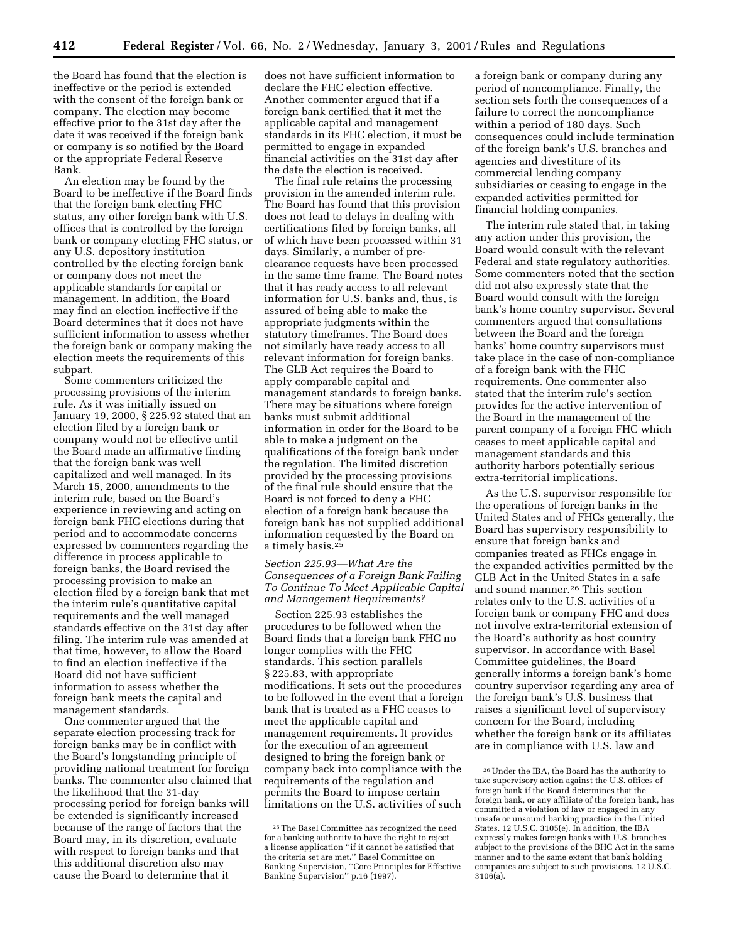the Board has found that the election is ineffective or the period is extended with the consent of the foreign bank or company. The election may become effective prior to the 31st day after the date it was received if the foreign bank or company is so notified by the Board or the appropriate Federal Reserve Bank.

An election may be found by the Board to be ineffective if the Board finds that the foreign bank electing FHC status, any other foreign bank with U.S. offices that is controlled by the foreign bank or company electing FHC status, or any U.S. depository institution controlled by the electing foreign bank or company does not meet the applicable standards for capital or management. In addition, the Board may find an election ineffective if the Board determines that it does not have sufficient information to assess whether the foreign bank or company making the election meets the requirements of this subpart.

Some commenters criticized the processing provisions of the interim rule. As it was initially issued on January 19, 2000, § 225.92 stated that an election filed by a foreign bank or company would not be effective until the Board made an affirmative finding that the foreign bank was well capitalized and well managed. In its March 15, 2000, amendments to the interim rule, based on the Board's experience in reviewing and acting on foreign bank FHC elections during that period and to accommodate concerns expressed by commenters regarding the difference in process applicable to foreign banks, the Board revised the processing provision to make an election filed by a foreign bank that met the interim rule's quantitative capital requirements and the well managed standards effective on the 31st day after filing. The interim rule was amended at that time, however, to allow the Board to find an election ineffective if the Board did not have sufficient information to assess whether the foreign bank meets the capital and management standards.

One commenter argued that the separate election processing track for foreign banks may be in conflict with the Board's longstanding principle of providing national treatment for foreign banks. The commenter also claimed that the likelihood that the 31-day processing period for foreign banks will be extended is significantly increased because of the range of factors that the Board may, in its discretion, evaluate with respect to foreign banks and that this additional discretion also may cause the Board to determine that it

does not have sufficient information to declare the FHC election effective. Another commenter argued that if a foreign bank certified that it met the applicable capital and management standards in its FHC election, it must be permitted to engage in expanded financial activities on the 31st day after the date the election is received.

The final rule retains the processing provision in the amended interim rule. The Board has found that this provision does not lead to delays in dealing with certifications filed by foreign banks, all of which have been processed within 31 days. Similarly, a number of preclearance requests have been processed in the same time frame. The Board notes that it has ready access to all relevant information for U.S. banks and, thus, is assured of being able to make the appropriate judgments within the statutory timeframes. The Board does not similarly have ready access to all relevant information for foreign banks. The GLB Act requires the Board to apply comparable capital and management standards to foreign banks. There may be situations where foreign banks must submit additional information in order for the Board to be able to make a judgment on the qualifications of the foreign bank under the regulation. The limited discretion provided by the processing provisions of the final rule should ensure that the Board is not forced to deny a FHC election of a foreign bank because the foreign bank has not supplied additional information requested by the Board on a timely basis.25

# *Section 225.93—What Are the Consequences of a Foreign Bank Failing To Continue To Meet Applicable Capital and Management Requirements?*

Section 225.93 establishes the procedures to be followed when the Board finds that a foreign bank FHC no longer complies with the FHC standards. This section parallels § 225.83, with appropriate modifications. It sets out the procedures to be followed in the event that a foreign bank that is treated as a FHC ceases to meet the applicable capital and management requirements. It provides for the execution of an agreement designed to bring the foreign bank or company back into compliance with the requirements of the regulation and permits the Board to impose certain limitations on the U.S. activities of such

a foreign bank or company during any period of noncompliance. Finally, the section sets forth the consequences of a failure to correct the noncompliance within a period of 180 days. Such consequences could include termination of the foreign bank's U.S. branches and agencies and divestiture of its commercial lending company subsidiaries or ceasing to engage in the expanded activities permitted for financial holding companies.

The interim rule stated that, in taking any action under this provision, the Board would consult with the relevant Federal and state regulatory authorities. Some commenters noted that the section did not also expressly state that the Board would consult with the foreign bank's home country supervisor. Several commenters argued that consultations between the Board and the foreign banks' home country supervisors must take place in the case of non-compliance of a foreign bank with the FHC requirements. One commenter also stated that the interim rule's section provides for the active intervention of the Board in the management of the parent company of a foreign FHC which ceases to meet applicable capital and management standards and this authority harbors potentially serious extra-territorial implications.

As the U.S. supervisor responsible for the operations of foreign banks in the United States and of FHCs generally, the Board has supervisory responsibility to ensure that foreign banks and companies treated as FHCs engage in the expanded activities permitted by the GLB Act in the United States in a safe and sound manner.26 This section relates only to the U.S. activities of a foreign bank or company FHC and does not involve extra-territorial extension of the Board's authority as host country supervisor. In accordance with Basel Committee guidelines, the Board generally informs a foreign bank's home country supervisor regarding any area of the foreign bank's U.S. business that raises a significant level of supervisory concern for the Board, including whether the foreign bank or its affiliates are in compliance with U.S. law and

<sup>25</sup>The Basel Committee has recognized the need for a banking authority to have the right to reject a license application ''if it cannot be satisfied that the criteria set are met.'' Basel Committee on Banking Supervision, ''Core Principles for Effective Banking Supervision'' p.16 (1997).

<sup>26</sup>Under the IBA, the Board has the authority to take supervisory action against the U.S. offices of foreign bank if the Board determines that the foreign bank, or any affiliate of the foreign bank, has committed a violation of law or engaged in any unsafe or unsound banking practice in the United States. 12 U.S.C. 3105(e). In addition, the IBA expressly makes foreign banks with U.S. branches subject to the provisions of the BHC Act in the same manner and to the same extent that bank holding companies are subject to such provisions. 12 U.S.C. 3106(a).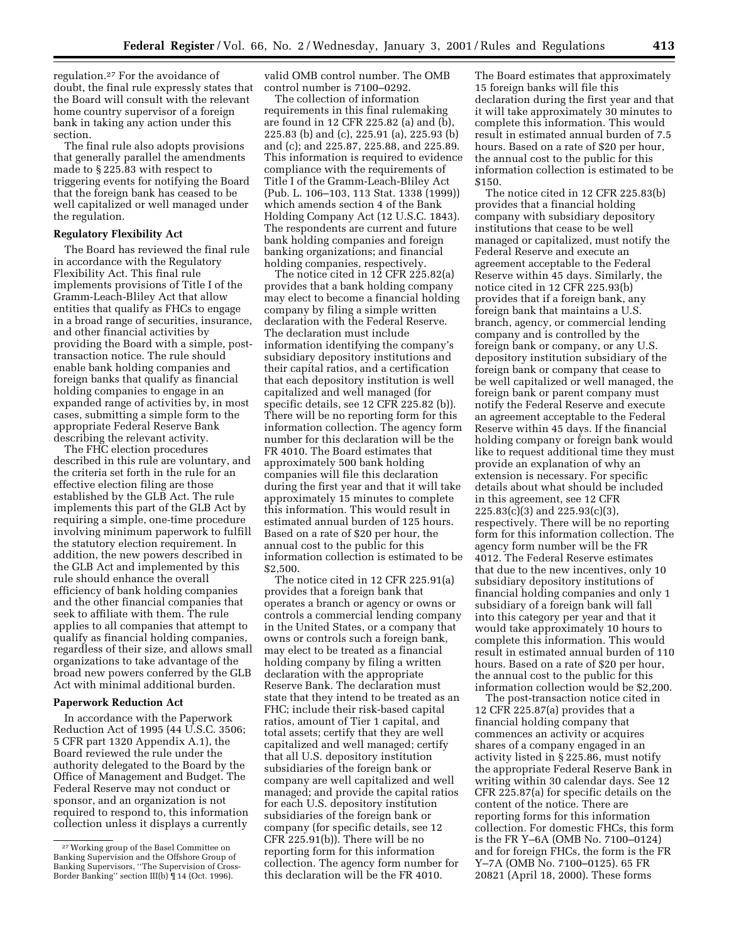regulation.27 For the avoidance of doubt, the final rule expressly states that the Board will consult with the relevant home country supervisor of a foreign bank in taking any action under this section.

The final rule also adopts provisions that generally parallel the amendments made to § 225.83 with respect to triggering events for notifying the Board that the foreign bank has ceased to be well capitalized or well managed under the regulation.

## **Regulatory Flexibility Act**

The Board has reviewed the final rule in accordance with the Regulatory Flexibility Act. This final rule implements provisions of Title I of the Gramm-Leach-Bliley Act that allow entities that qualify as FHCs to engage in a broad range of securities, insurance, and other financial activities by providing the Board with a simple, posttransaction notice. The rule should enable bank holding companies and foreign banks that qualify as financial holding companies to engage in an expanded range of activities by, in most cases, submitting a simple form to the appropriate Federal Reserve Bank describing the relevant activity.

The FHC election procedures described in this rule are voluntary, and the criteria set forth in the rule for an effective election filing are those established by the GLB Act. The rule implements this part of the GLB Act by requiring a simple, one-time procedure involving minimum paperwork to fulfill the statutory election requirement. In addition, the new powers described in the GLB Act and implemented by this rule should enhance the overall efficiency of bank holding companies and the other financial companies that seek to affiliate with them. The rule applies to all companies that attempt to qualify as financial holding companies, regardless of their size, and allows small organizations to take advantage of the broad new powers conferred by the GLB Act with minimal additional burden.

#### **Paperwork Reduction Act**

In accordance with the Paperwork Reduction Act of 1995 (44 U.S.C. 3506; 5 CFR part 1320 Appendix A.1), the Board reviewed the rule under the authority delegated to the Board by the Office of Management and Budget. The Federal Reserve may not conduct or sponsor, and an organization is not required to respond to, this information collection unless it displays a currently

valid OMB control number. The OMB control number is 7100–0292.

The collection of information requirements in this final rulemaking are found in 12 CFR 225.82 (a) and (b), 225.83 (b) and (c), 225.91 (a), 225.93 (b) and (c); and 225.87, 225.88, and 225.89. This information is required to evidence compliance with the requirements of Title I of the Gramm-Leach-Bliley Act (Pub. L. 106–103, 113 Stat. 1338 (1999)) which amends section 4 of the Bank Holding Company Act (12 U.S.C. 1843). The respondents are current and future bank holding companies and foreign banking organizations; and financial holding companies, respectively.

The notice cited in 12 CFR 225.82(a) provides that a bank holding company may elect to become a financial holding company by filing a simple written declaration with the Federal Reserve. The declaration must include information identifying the company's subsidiary depository institutions and their capital ratios, and a certification that each depository institution is well capitalized and well managed (for specific details, see 12 CFR 225.82 (b)). There will be no reporting form for this information collection. The agency form number for this declaration will be the FR 4010. The Board estimates that approximately 500 bank holding companies will file this declaration during the first year and that it will take approximately 15 minutes to complete this information. This would result in estimated annual burden of 125 hours. Based on a rate of \$20 per hour, the annual cost to the public for this information collection is estimated to be \$2,500.

The notice cited in 12 CFR 225.91(a) provides that a foreign bank that operates a branch or agency or owns or controls a commercial lending company in the United States, or a company that owns or controls such a foreign bank, may elect to be treated as a financial holding company by filing a written declaration with the appropriate Reserve Bank. The declaration must state that they intend to be treated as an FHC; include their risk-based capital ratios, amount of Tier 1 capital, and total assets; certify that they are well capitalized and well managed; certify that all U.S. depository institution subsidiaries of the foreign bank or company are well capitalized and well managed; and provide the capital ratios for each U.S. depository institution subsidiaries of the foreign bank or company (for specific details, see 12 CFR 225.91(b)). There will be no reporting form for this information collection. The agency form number for this declaration will be the FR 4010.

The Board estimates that approximately 15 foreign banks will file this declaration during the first year and that it will take approximately 30 minutes to complete this information. This would result in estimated annual burden of 7.5 hours. Based on a rate of \$20 per hour, the annual cost to the public for this information collection is estimated to be \$150.

The notice cited in 12 CFR 225.83(b) provides that a financial holding company with subsidiary depository institutions that cease to be well managed or capitalized, must notify the Federal Reserve and execute an agreement acceptable to the Federal Reserve within 45 days. Similarly, the notice cited in 12 CFR 225.93(b) provides that if a foreign bank, any foreign bank that maintains a U.S. branch, agency, or commercial lending company and is controlled by the foreign bank or company, or any U.S. depository institution subsidiary of the foreign bank or company that cease to be well capitalized or well managed, the foreign bank or parent company must notify the Federal Reserve and execute an agreement acceptable to the Federal Reserve within 45 days. If the financial holding company or foreign bank would like to request additional time they must provide an explanation of why an extension is necessary. For specific details about what should be included in this agreement, see 12 CFR 225.83(c)(3) and 225.93(c)(3), respectively. There will be no reporting form for this information collection. The agency form number will be the FR 4012. The Federal Reserve estimates that due to the new incentives, only 10 subsidiary depository institutions of financial holding companies and only 1 subsidiary of a foreign bank will fall into this category per year and that it would take approximately 10 hours to complete this information. This would result in estimated annual burden of 110 hours. Based on a rate of \$20 per hour, the annual cost to the public for this information collection would be \$2,200.

The post-transaction notice cited in 12 CFR 225.87(a) provides that a financial holding company that commences an activity or acquires shares of a company engaged in an activity listed in § 225.86, must notify the appropriate Federal Reserve Bank in writing within 30 calendar days. See 12 CFR 225.87(a) for specific details on the content of the notice. There are reporting forms for this information collection. For domestic FHCs, this form is the FR Y–6A (OMB No. 7100–0124) and for foreign FHCs, the form is the FR Y–7A (OMB No. 7100–0125). 65 FR 20821 (April 18, 2000). These forms

<sup>27</sup>Working group of the Basel Committee on Banking Supervision and the Offshore Group of Banking Supervisors, ''The Supervision of Cross-Border Banking'' section III(b) ¶ 14 (Oct. 1996).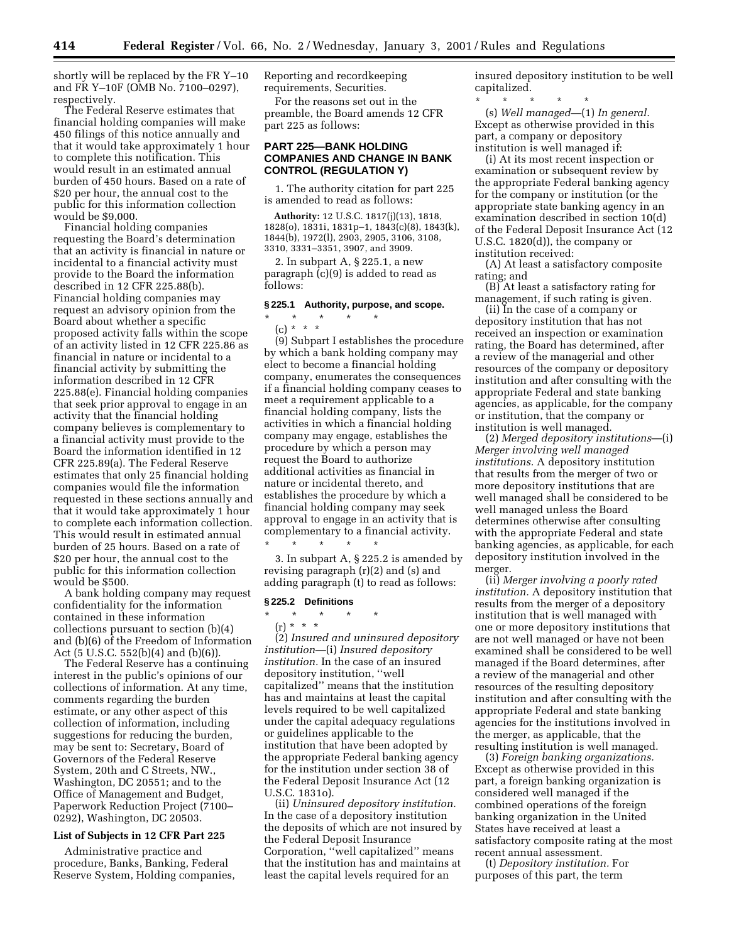shortly will be replaced by the FR Y–10 and FR Y–10F (OMB No. 7100–0297), respectively.

The Federal Reserve estimates that financial holding companies will make 450 filings of this notice annually and that it would take approximately 1 hour to complete this notification. This would result in an estimated annual burden of 450 hours. Based on a rate of \$20 per hour, the annual cost to the public for this information collection would be \$9,000.

Financial holding companies requesting the Board's determination that an activity is financial in nature or incidental to a financial activity must provide to the Board the information described in 12 CFR 225.88(b). Financial holding companies may request an advisory opinion from the Board about whether a specific proposed activity falls within the scope of an activity listed in 12 CFR 225.86 as financial in nature or incidental to a financial activity by submitting the information described in 12 CFR 225.88(e). Financial holding companies that seek prior approval to engage in an activity that the financial holding company believes is complementary to a financial activity must provide to the Board the information identified in 12 CFR 225.89(a). The Federal Reserve estimates that only 25 financial holding companies would file the information requested in these sections annually and that it would take approximately 1 hour to complete each information collection. This would result in estimated annual burden of 25 hours. Based on a rate of \$20 per hour, the annual cost to the public for this information collection would be \$500.

A bank holding company may request confidentiality for the information contained in these information collections pursuant to section (b)(4) and (b)(6) of the Freedom of Information Act (5 U.S.C. 552(b)(4) and (b)(6)).

The Federal Reserve has a continuing interest in the public's opinions of our collections of information. At any time, comments regarding the burden estimate, or any other aspect of this collection of information, including suggestions for reducing the burden, may be sent to: Secretary, Board of Governors of the Federal Reserve System, 20th and C Streets, NW., Washington, DC 20551; and to the Office of Management and Budget, Paperwork Reduction Project (7100– 0292), Washington, DC 20503.

# **List of Subjects in 12 CFR Part 225**

Administrative practice and procedure, Banks, Banking, Federal Reserve System, Holding companies, Reporting and recordkeeping requirements, Securities.

For the reasons set out in the preamble, the Board amends 12 CFR part 225 as follows:

# **PART 225—BANK HOLDING COMPANIES AND CHANGE IN BANK CONTROL (REGULATION Y)**

1. The authority citation for part 225 is amended to read as follows:

**Authority:** 12 U.S.C. 1817(j)(13), 1818, 1828(o), 1831i, 1831p–1, 1843(c)(8), 1843(k), 1844(b), 1972(l), 2903, 2905, 3106, 3108, 3310, 3331–3351, 3907, and 3909.

2. In subpart A, § 225.1, a new paragraph (c)(9) is added to read as follows:

# **§ 225.1 Authority, purpose, and scope.**

\* \* \* \* \* (c) \* \* \*

(9) Subpart I establishes the procedure by which a bank holding company may elect to become a financial holding company, enumerates the consequences if a financial holding company ceases to meet a requirement applicable to a financial holding company, lists the activities in which a financial holding company may engage, establishes the procedure by which a person may request the Board to authorize additional activities as financial in nature or incidental thereto, and establishes the procedure by which a financial holding company may seek approval to engage in an activity that is complementary to a financial activity.

\* \* \* \* \* 3. In subpart A, § 225.2 is amended by revising paragraph (r)(2) and (s) and adding paragraph (t) to read as follows:

## **§ 225.2 Definitions**

\* \* \* \* \*

(r) \* \* \*

(2) *Insured and uninsured depository institution*—(i) *Insured depository institution.* In the case of an insured depository institution, ''well capitalized'' means that the institution has and maintains at least the capital levels required to be well capitalized under the capital adequacy regulations or guidelines applicable to the institution that have been adopted by the appropriate Federal banking agency for the institution under section 38 of the Federal Deposit Insurance Act (12 U.S.C. 1831o).

(ii) *Uninsured depository institution.* In the case of a depository institution the deposits of which are not insured by the Federal Deposit Insurance Corporation, ''well capitalized'' means that the institution has and maintains at least the capital levels required for an

insured depository institution to be well capitalized.

\* \* \* \* \* (s) *Well managed*—(1) *In general.* Except as otherwise provided in this part, a company or depository institution is well managed if:

(i) At its most recent inspection or examination or subsequent review by the appropriate Federal banking agency for the company or institution (or the appropriate state banking agency in an examination described in section 10(d) of the Federal Deposit Insurance Act (12 U.S.C. 1820(d)), the company or institution received:

(A) At least a satisfactory composite rating; and

(B) At least a satisfactory rating for management, if such rating is given.

(ii) In the case of a company or depository institution that has not received an inspection or examination rating, the Board has determined, after a review of the managerial and other resources of the company or depository institution and after consulting with the appropriate Federal and state banking agencies, as applicable, for the company or institution, that the company or institution is well managed.

(2) *Merged depository institutions*—(i) *Merger involving well managed institutions.* A depository institution that results from the merger of two or more depository institutions that are well managed shall be considered to be well managed unless the Board determines otherwise after consulting with the appropriate Federal and state banking agencies, as applicable, for each depository institution involved in the merger.

(ii) *Merger involving a poorly rated institution.* A depository institution that results from the merger of a depository institution that is well managed with one or more depository institutions that are not well managed or have not been examined shall be considered to be well managed if the Board determines, after a review of the managerial and other resources of the resulting depository institution and after consulting with the appropriate Federal and state banking agencies for the institutions involved in the merger, as applicable, that the resulting institution is well managed.

(3) *Foreign banking organizations.* Except as otherwise provided in this part, a foreign banking organization is considered well managed if the combined operations of the foreign banking organization in the United States have received at least a satisfactory composite rating at the most recent annual assessment.

(t) *Depository institution.* For purposes of this part, the term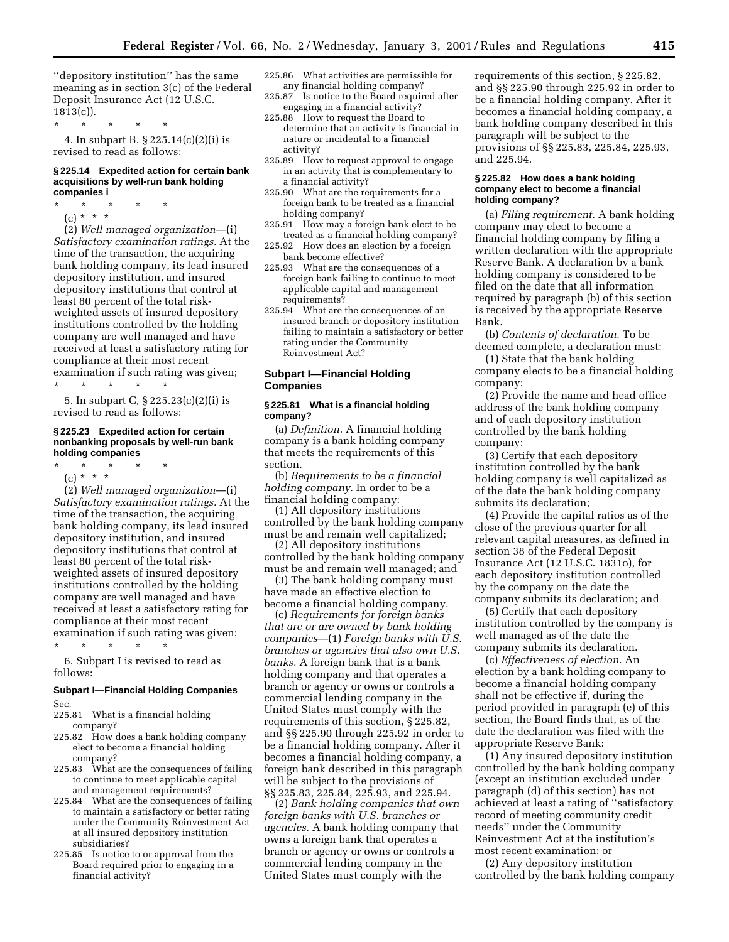''depository institution'' has the same meaning as in section 3(c) of the Federal Deposit Insurance Act (12 U.S.C.  $1813(c)$ ).

\* \* \* \* \*

4. In subpart B, § 225.14(c)(2)(i) is revised to read as follows:

### **§ 225.14 Expedited action for certain bank acquisitions by well-run bank holding companies i**

- \* \* \* \* \*
	- (c) \* \* \*

(2) *Well managed organization*—(i) *Satisfactory examination ratings.* At the time of the transaction, the acquiring bank holding company, its lead insured depository institution, and insured depository institutions that control at least 80 percent of the total riskweighted assets of insured depository institutions controlled by the holding company are well managed and have received at least a satisfactory rating for compliance at their most recent examination if such rating was given;

\* \* \* \* \* 5. In subpart C, § 225.23(c)(2)(i) is revised to read as follows:

#### **§ 225.23 Expedited action for certain nonbanking proposals by well-run bank holding companies**

- \* \* \* \* \*
	- (c) \* \* \*

(2) *Well managed organization*—(i) *Satisfactory examination ratings.* At the time of the transaction, the acquiring bank holding company, its lead insured depository institution, and insured depository institutions that control at least 80 percent of the total riskweighted assets of insured depository institutions controlled by the holding company are well managed and have received at least a satisfactory rating for compliance at their most recent examination if such rating was given;

\* \* \* \* \* 6. Subpart I is revised to read as follows:

### **Subpart I—Financial Holding Companies**

Sec.

225.81 What is a financial holding company?

- 225.82 How does a bank holding company elect to become a financial holding company?
- 225.83 What are the consequences of failing to continue to meet applicable capital and management requirements?
- 225.84 What are the consequences of failing to maintain a satisfactory or better rating under the Community Reinvestment Act at all insured depository institution subsidiaries?
- 225.85 Is notice to or approval from the Board required prior to engaging in a financial activity?
- 225.86 What activities are permissible for any financial holding company?
- 225.87 Is notice to the Board required after engaging in a financial activity?
- 225.88 How to request the Board to determine that an activity is financial in nature or incidental to a financial activity?
- 225.89 How to request approval to engage in an activity that is complementary to a financial activity?
- 225.90 What are the requirements for a foreign bank to be treated as a financial holding company?
- 225.91 How may a foreign bank elect to be treated as a financial holding company?
- 225.92 How does an election by a foreign bank become effective?
- 225.93 What are the consequences of a foreign bank failing to continue to meet applicable capital and management requirements?
- 225.94 What are the consequences of an insured branch or depository institution failing to maintain a satisfactory or better rating under the Community Reinvestment Act?

# **Subpart I—Financial Holding Companies**

### **§ 225.81 What is a financial holding company?**

(a) *Definition.* A financial holding company is a bank holding company that meets the requirements of this section.

(b) *Requirements to be a financial holding company.* In order to be a financial holding company:

(1) All depository institutions controlled by the bank holding company must be and remain well capitalized;

(2) All depository institutions controlled by the bank holding company must be and remain well managed; and

(3) The bank holding company must have made an effective election to become a financial holding company.

(c) *Requirements for foreign banks that are or are owned by bank holding companies*—(1) *Foreign banks with U.S. branches or agencies that also own U.S. banks.* A foreign bank that is a bank holding company and that operates a branch or agency or owns or controls a commercial lending company in the United States must comply with the requirements of this section, § 225.82, and §§ 225.90 through 225.92 in order to be a financial holding company. After it becomes a financial holding company, a foreign bank described in this paragraph will be subject to the provisions of §§ 225.83, 225.84, 225.93, and 225.94.

(2) *Bank holding companies that own foreign banks with U.S. branches or agencies.* A bank holding company that owns a foreign bank that operates a branch or agency or owns or controls a commercial lending company in the United States must comply with the

requirements of this section, § 225.82, and §§ 225.90 through 225.92 in order to be a financial holding company. After it becomes a financial holding company, a bank holding company described in this paragraph will be subject to the provisions of §§ 225.83, 225.84, 225.93, and 225.94.

### **§ 225.82 How does a bank holding company elect to become a financial holding company?**

(a) *Filing requirement.* A bank holding company may elect to become a financial holding company by filing a written declaration with the appropriate Reserve Bank. A declaration by a bank holding company is considered to be filed on the date that all information required by paragraph (b) of this section is received by the appropriate Reserve Bank.

(b) *Contents of declaration.* To be deemed complete, a declaration must:

(1) State that the bank holding company elects to be a financial holding company;

(2) Provide the name and head office address of the bank holding company and of each depository institution controlled by the bank holding company;

(3) Certify that each depository institution controlled by the bank holding company is well capitalized as of the date the bank holding company submits its declaration;

(4) Provide the capital ratios as of the close of the previous quarter for all relevant capital measures, as defined in section 38 of the Federal Deposit Insurance Act (12 U.S.C. 1831o), for each depository institution controlled by the company on the date the company submits its declaration; and

(5) Certify that each depository institution controlled by the company is well managed as of the date the company submits its declaration.

(c) *Effectiveness of election.* An election by a bank holding company to become a financial holding company shall not be effective if, during the period provided in paragraph (e) of this section, the Board finds that, as of the date the declaration was filed with the appropriate Reserve Bank:

(1) Any insured depository institution controlled by the bank holding company (except an institution excluded under paragraph (d) of this section) has not achieved at least a rating of ''satisfactory record of meeting community credit needs'' under the Community Reinvestment Act at the institution's most recent examination; or

(2) Any depository institution controlled by the bank holding company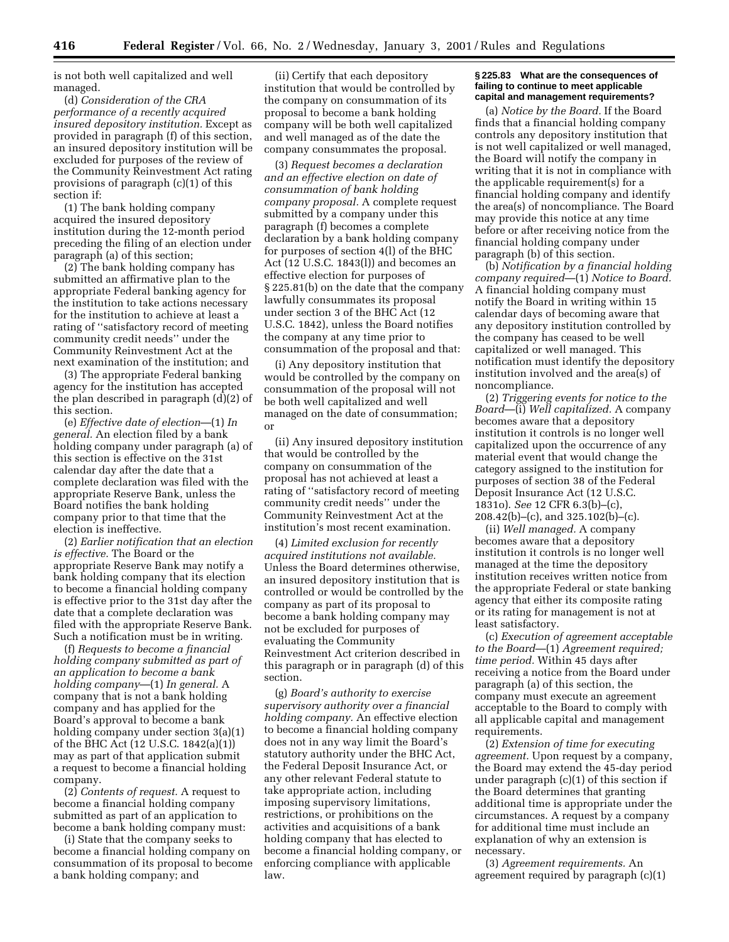is not both well capitalized and well managed.

(d) *Consideration of the CRA performance of a recently acquired insured depository institution.* Except as provided in paragraph (f) of this section, an insured depository institution will be excluded for purposes of the review of the Community Reinvestment Act rating provisions of paragraph (c)(1) of this section if:

(1) The bank holding company acquired the insured depository institution during the 12-month period preceding the filing of an election under paragraph (a) of this section;

(2) The bank holding company has submitted an affirmative plan to the appropriate Federal banking agency for the institution to take actions necessary for the institution to achieve at least a rating of ''satisfactory record of meeting community credit needs'' under the Community Reinvestment Act at the next examination of the institution; and

(3) The appropriate Federal banking agency for the institution has accepted the plan described in paragraph (d)(2) of this section.

(e) *Effective date of election*—(1) *In general.* An election filed by a bank holding company under paragraph (a) of this section is effective on the 31st calendar day after the date that a complete declaration was filed with the appropriate Reserve Bank, unless the Board notifies the bank holding company prior to that time that the election is ineffective.

(2) *Earlier notification that an election is effective.* The Board or the appropriate Reserve Bank may notify a bank holding company that its election to become a financial holding company is effective prior to the 31st day after the date that a complete declaration was filed with the appropriate Reserve Bank. Such a notification must be in writing.

(f) *Requests to become a financial holding company submitted as part of an application to become a bank holding company*—(1) *In general.* A company that is not a bank holding company and has applied for the Board's approval to become a bank holding company under section 3(a)(1) of the BHC Act (12 U.S.C. 1842(a)(1)) may as part of that application submit a request to become a financial holding company.

(2) *Contents of request.* A request to become a financial holding company submitted as part of an application to become a bank holding company must:

(i) State that the company seeks to become a financial holding company on consummation of its proposal to become a bank holding company; and

(ii) Certify that each depository institution that would be controlled by the company on consummation of its proposal to become a bank holding company will be both well capitalized and well managed as of the date the company consummates the proposal.

(3) *Request becomes a declaration and an effective election on date of consummation of bank holding company proposal.* A complete request submitted by a company under this paragraph (f) becomes a complete declaration by a bank holding company for purposes of section 4(l) of the BHC Act (12 U.S.C. 1843(l)) and becomes an effective election for purposes of § 225.81(b) on the date that the company lawfully consummates its proposal under section 3 of the BHC Act (12 U.S.C. 1842), unless the Board notifies the company at any time prior to consummation of the proposal and that:

(i) Any depository institution that would be controlled by the company on consummation of the proposal will not be both well capitalized and well managed on the date of consummation; or

(ii) Any insured depository institution that would be controlled by the company on consummation of the proposal has not achieved at least a rating of ''satisfactory record of meeting community credit needs'' under the Community Reinvestment Act at the institution's most recent examination.

(4) *Limited exclusion for recently acquired institutions not available.* Unless the Board determines otherwise, an insured depository institution that is controlled or would be controlled by the company as part of its proposal to become a bank holding company may not be excluded for purposes of evaluating the Community Reinvestment Act criterion described in this paragraph or in paragraph (d) of this section.

(g) *Board's authority to exercise supervisory authority over a financial holding company.* An effective election to become a financial holding company does not in any way limit the Board's statutory authority under the BHC Act, the Federal Deposit Insurance Act, or any other relevant Federal statute to take appropriate action, including imposing supervisory limitations, restrictions, or prohibitions on the activities and acquisitions of a bank holding company that has elected to become a financial holding company, or enforcing compliance with applicable law.

#### **§ 225.83 What are the consequences of failing to continue to meet applicable capital and management requirements?**

(a) *Notice by the Board.* If the Board finds that a financial holding company controls any depository institution that is not well capitalized or well managed, the Board will notify the company in writing that it is not in compliance with the applicable requirement(s) for a financial holding company and identify the area(s) of noncompliance. The Board may provide this notice at any time before or after receiving notice from the financial holding company under paragraph (b) of this section.

(b) *Notification by a financial holding company required*—(1) *Notice to Board.* A financial holding company must notify the Board in writing within 15 calendar days of becoming aware that any depository institution controlled by the company has ceased to be well capitalized or well managed. This notification must identify the depository institution involved and the area(s) of noncompliance.

(2) *Triggering events for notice to the Board*—(i) *Well capitalized.* A company becomes aware that a depository institution it controls is no longer well capitalized upon the occurrence of any material event that would change the category assigned to the institution for purposes of section 38 of the Federal Deposit Insurance Act (12 U.S.C. 1831o). *See* 12 CFR 6.3(b)–(c), 208.42(b)–(c), and 325.102(b)–(c).

(ii) *Well managed.* A company becomes aware that a depository institution it controls is no longer well managed at the time the depository institution receives written notice from the appropriate Federal or state banking agency that either its composite rating or its rating for management is not at least satisfactory.

(c) *Execution of agreement acceptable to the Board*—(1) *Agreement required; time period.* Within 45 days after receiving a notice from the Board under paragraph (a) of this section, the company must execute an agreement acceptable to the Board to comply with all applicable capital and management requirements.

(2) *Extension of time for executing agreement.* Upon request by a company, the Board may extend the 45-day period under paragraph (c)(1) of this section if the Board determines that granting additional time is appropriate under the circumstances. A request by a company for additional time must include an explanation of why an extension is necessary.

(3) *Agreement requirements.* An agreement required by paragraph (c)(1)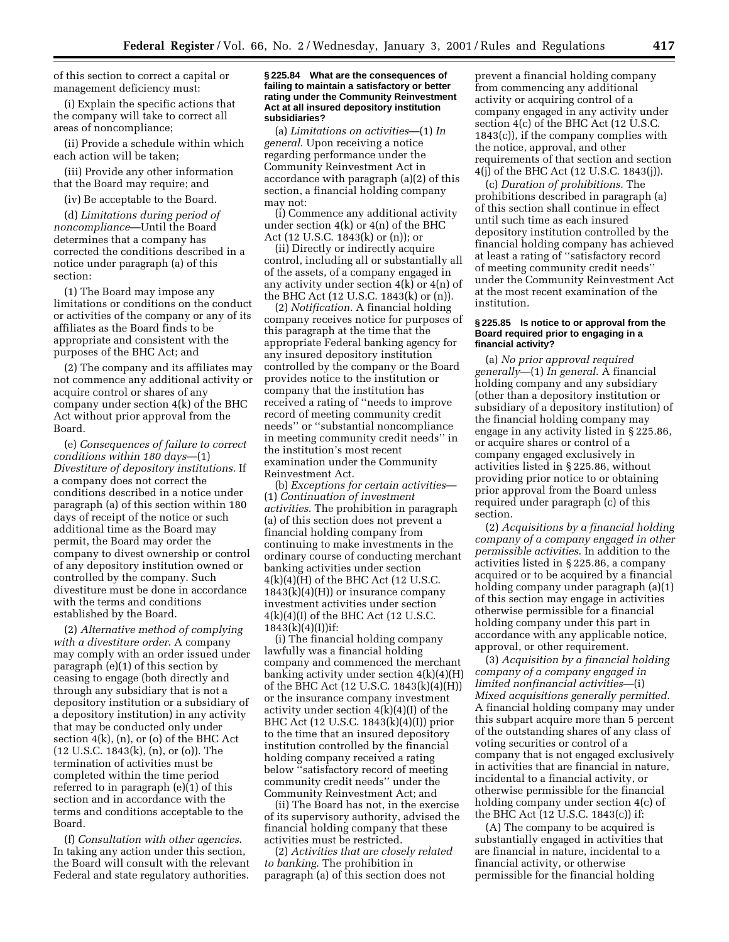of this section to correct a capital or management deficiency must:

(i) Explain the specific actions that the company will take to correct all areas of noncompliance;

(ii) Provide a schedule within which each action will be taken;

(iii) Provide any other information that the Board may require; and

(iv) Be acceptable to the Board.

(d) *Limitations during period of noncompliance*—Until the Board determines that a company has corrected the conditions described in a notice under paragraph (a) of this section:

(1) The Board may impose any limitations or conditions on the conduct or activities of the company or any of its affiliates as the Board finds to be appropriate and consistent with the purposes of the BHC Act; and

(2) The company and its affiliates may not commence any additional activity or acquire control or shares of any company under section 4(k) of the BHC Act without prior approval from the Board.

(e) *Consequences of failure to correct conditions within 180 days*—(1) *Divestiture of depository institutions*. If a company does not correct the conditions described in a notice under paragraph (a) of this section within 180 days of receipt of the notice or such additional time as the Board may permit, the Board may order the company to divest ownership or control of any depository institution owned or controlled by the company. Such divestiture must be done in accordance with the terms and conditions established by the Board.

(2) *Alternative method of complying with a divestiture order*. A company may comply with an order issued under paragraph (e)(1) of this section by ceasing to engage (both directly and through any subsidiary that is not a depository institution or a subsidiary of a depository institution) in any activity that may be conducted only under section 4(k), (n), or (o) of the BHC Act (12 U.S.C. 1843(k), (n), or (o)). The termination of activities must be completed within the time period referred to in paragraph (e)(1) of this section and in accordance with the terms and conditions acceptable to the Board.

(f) *Consultation with other agencies*. In taking any action under this section, the Board will consult with the relevant Federal and state regulatory authorities.

#### **§ 225.84 What are the consequences of failing to maintain a satisfactory or better rating under the Community Reinvestment Act at all insured depository institution subsidiaries?**

(a) *Limitations on activities*—(1) *In general*. Upon receiving a notice regarding performance under the Community Reinvestment Act in accordance with paragraph (a)(2) of this section, a financial holding company may not:

(i) Commence any additional activity under section 4(k) or 4(n) of the BHC Act (12 U.S.C. 1843(k) or (n)); or

(ii) Directly or indirectly acquire control, including all or substantially all of the assets, of a company engaged in any activity under section 4(k) or 4(n) of the BHC Act (12 U.S.C. 1843(k) or (n)).

(2) *Notification*. A financial holding company receives notice for purposes of this paragraph at the time that the appropriate Federal banking agency for any insured depository institution controlled by the company or the Board provides notice to the institution or company that the institution has received a rating of ''needs to improve record of meeting community credit needs'' or ''substantial noncompliance in meeting community credit needs'' in the institution's most recent examination under the Community Reinvestment Act.

(b) *Exceptions for certain activities*— (1) *Continuation of investment activities*. The prohibition in paragraph (a) of this section does not prevent a financial holding company from continuing to make investments in the ordinary course of conducting merchant banking activities under section 4(k)(4)(H) of the BHC Act (12 U.S.C. 1843(k)(4)(H)) or insurance company investment activities under section 4(k)(4)(I) of the BHC Act (12 U.S.C.  $1843(k)(4)(I)$ )if:

(i) The financial holding company lawfully was a financial holding company and commenced the merchant banking activity under section  $4(k)(4)(H)$ of the BHC Act (12 U.S.C. 1843(k)(4)(H)) or the insurance company investment activity under section  $4(k)(4)(I)$  of the BHC Act (12 U.S.C. 1843(k)(4)(I)) prior to the time that an insured depository institution controlled by the financial holding company received a rating below ''satisfactory record of meeting community credit needs'' under the Community Reinvestment Act; and

(ii) The Board has not, in the exercise of its supervisory authority, advised the financial holding company that these activities must be restricted.

(2) *Activities that are closely related to banking*. The prohibition in paragraph (a) of this section does not

prevent a financial holding company from commencing any additional activity or acquiring control of a company engaged in any activity under section 4(c) of the BHC Act (12 U.S.C. 1843(c)), if the company complies with the notice, approval, and other requirements of that section and section 4(j) of the BHC Act (12 U.S.C. 1843(j)).

(c) *Duration of prohibitions.* The prohibitions described in paragraph (a) of this section shall continue in effect until such time as each insured depository institution controlled by the financial holding company has achieved at least a rating of ''satisfactory record of meeting community credit needs'' under the Community Reinvestment Act at the most recent examination of the institution.

### **§ 225.85 Is notice to or approval from the Board required prior to engaging in a financial activity?**

(a) *No prior approval required generally*—(1) *In general*. A financial holding company and any subsidiary (other than a depository institution or subsidiary of a depository institution) of the financial holding company may engage in any activity listed in § 225.86, or acquire shares or control of a company engaged exclusively in activities listed in § 225.86, without providing prior notice to or obtaining prior approval from the Board unless required under paragraph (c) of this section.

(2) *Acquisitions by a financial holding company of a company engaged in other permissible activities*. In addition to the activities listed in § 225.86, a company acquired or to be acquired by a financial holding company under paragraph (a)(1) of this section may engage in activities otherwise permissible for a financial holding company under this part in accordance with any applicable notice, approval, or other requirement.

(3) *Acquisition by a financial holding company of a company engaged in limited nonfinancial activities*—(i) *Mixed acquisitions generally permitted*. A financial holding company may under this subpart acquire more than 5 percent of the outstanding shares of any class of voting securities or control of a company that is not engaged exclusively in activities that are financial in nature, incidental to a financial activity, or otherwise permissible for the financial holding company under section 4(c) of the BHC Act (12 U.S.C. 1843(c)) if:

(A) The company to be acquired is substantially engaged in activities that are financial in nature, incidental to a financial activity, or otherwise permissible for the financial holding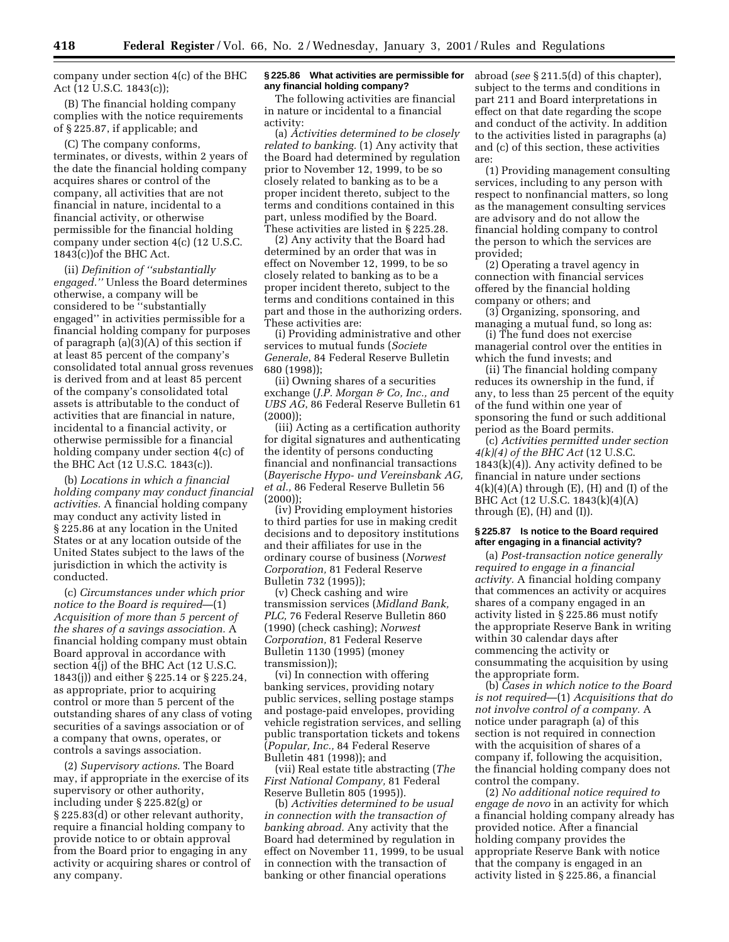company under section 4(c) of the BHC Act (12 U.S.C. 1843(c));

(B) The financial holding company complies with the notice requirements of § 225.87, if applicable; and

(C) The company conforms, terminates, or divests, within 2 years of the date the financial holding company acquires shares or control of the company, all activities that are not financial in nature, incidental to a financial activity, or otherwise permissible for the financial holding company under section 4(c) (12 U.S.C. 1843(c))of the BHC Act.

(ii) *Definition of ''substantially engaged.''* Unless the Board determines otherwise, a company will be considered to be ''substantially engaged'' in activities permissible for a financial holding company for purposes of paragraph (a)(3)(A) of this section if at least 85 percent of the company's consolidated total annual gross revenues is derived from and at least 85 percent of the company's consolidated total assets is attributable to the conduct of activities that are financial in nature, incidental to a financial activity, or otherwise permissible for a financial holding company under section 4(c) of the BHC Act (12 U.S.C. 1843(c)).

(b) *Locations in which a financial holding company may conduct financial activities.* A financial holding company may conduct any activity listed in § 225.86 at any location in the United States or at any location outside of the United States subject to the laws of the jurisdiction in which the activity is conducted.

(c) *Circumstances under which prior notice to the Board is required*—(1) *Acquisition of more than 5 percent of the shares of a savings association.* A financial holding company must obtain Board approval in accordance with section 4(j) of the BHC Act (12 U.S.C. 1843(j)) and either § 225.14 or § 225.24, as appropriate, prior to acquiring control or more than 5 percent of the outstanding shares of any class of voting securities of a savings association or of a company that owns, operates, or controls a savings association.

(2) *Supervisory actions*. The Board may, if appropriate in the exercise of its supervisory or other authority, including under § 225.82(g) or § 225.83(d) or other relevant authority, require a financial holding company to provide notice to or obtain approval from the Board prior to engaging in any activity or acquiring shares or control of any company.

### **§ 225.86 What activities are permissible for any financial holding company?**

The following activities are financial in nature or incidental to a financial activity:

(a) *Activities determined to be closely related to banking.* (1) Any activity that the Board had determined by regulation prior to November 12, 1999, to be so closely related to banking as to be a proper incident thereto, subject to the terms and conditions contained in this part, unless modified by the Board. These activities are listed in § 225.28.

(2) Any activity that the Board had determined by an order that was in effect on November 12, 1999, to be so closely related to banking as to be a proper incident thereto, subject to the terms and conditions contained in this part and those in the authorizing orders. These activities are:

(i) Providing administrative and other services to mutual funds (*Societe Generale*, 84 Federal Reserve Bulletin 680 (1998));

(ii) Owning shares of a securities exchange (*J.P. Morgan & Co, Inc., and UBS AG*, 86 Federal Reserve Bulletin 61  $(2000)$ :

(iii) Acting as a certification authority for digital signatures and authenticating the identity of persons conducting financial and nonfinancial transactions (*Bayerische Hypo- und Vereinsbank AG, et al.,* 86 Federal Reserve Bulletin 56  $(2000)$ :

(iv) Providing employment histories to third parties for use in making credit decisions and to depository institutions and their affiliates for use in the ordinary course of business (*Norwest Corporation,* 81 Federal Reserve Bulletin 732 (1995));

(v) Check cashing and wire transmission services (*Midland Bank, PLC,* 76 Federal Reserve Bulletin 860 (1990) (check cashing); *Norwest Corporation,* 81 Federal Reserve Bulletin 1130 (1995) (money transmission));

(vi) In connection with offering banking services, providing notary public services, selling postage stamps and postage-paid envelopes, providing vehicle registration services, and selling public transportation tickets and tokens (*Popular, Inc.,* 84 Federal Reserve Bulletin 481 (1998)); and

(vii) Real estate title abstracting (*The First National Company,* 81 Federal Reserve Bulletin 805 (1995)).

(b) *Activities determined to be usual in connection with the transaction of banking abroad.* Any activity that the Board had determined by regulation in effect on November 11, 1999, to be usual in connection with the transaction of banking or other financial operations

abroad (*see* § 211.5(d) of this chapter), subject to the terms and conditions in part 211 and Board interpretations in effect on that date regarding the scope and conduct of the activity. In addition to the activities listed in paragraphs (a) and (c) of this section, these activities are:

(1) Providing management consulting services, including to any person with respect to nonfinancial matters, so long as the management consulting services are advisory and do not allow the financial holding company to control the person to which the services are provided;

(2) Operating a travel agency in connection with financial services offered by the financial holding company or others; and

(3) Organizing, sponsoring, and managing a mutual fund, so long as:

(i) The fund does not exercise managerial control over the entities in which the fund invests; and

(ii) The financial holding company reduces its ownership in the fund, if any, to less than 25 percent of the equity of the fund within one year of sponsoring the fund or such additional period as the Board permits.

(c) *Activities permitted under section 4(k)(4) of the BHC Act* (12 U.S.C.  $1843(k)(4)$ ). Any activity defined to be financial in nature under sections  $4(k)(4)(A)$  through  $(E)$ ,  $(H)$  and  $(I)$  of the BHC Act (12 U.S.C. 1843(k)(4)(A) through  $(E)$ ,  $(H)$  and  $(I)$ ).

### **§ 225.87 Is notice to the Board required after engaging in a financial activity?**

(a) *Post-transaction notice generally required to engage in a financial activity.* A financial holding company that commences an activity or acquires shares of a company engaged in an activity listed in § 225.86 must notify the appropriate Reserve Bank in writing within 30 calendar days after commencing the activity or consummating the acquisition by using the appropriate form.

(b) *Cases in which notice to the Board is not required*—(1) *Acquisitions that do not involve control of a company.* A notice under paragraph (a) of this section is not required in connection with the acquisition of shares of a company if, following the acquisition, the financial holding company does not control the company.

(2) *No additional notice required to engage de novo* in an activity for which a financial holding company already has provided notice. After a financial holding company provides the appropriate Reserve Bank with notice that the company is engaged in an activity listed in § 225.86, a financial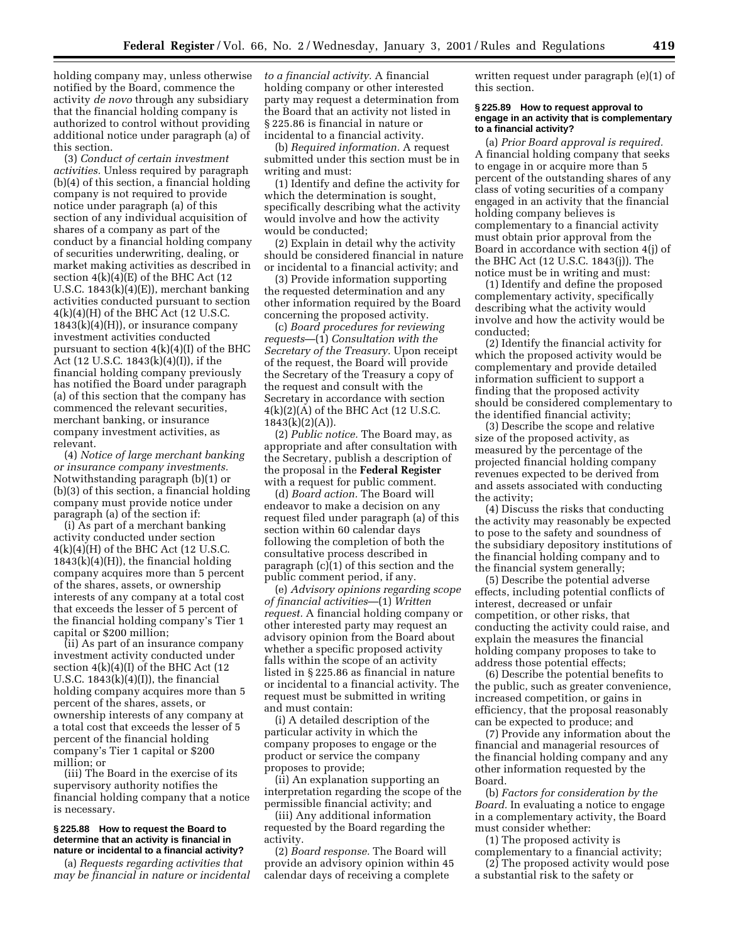holding company may, unless otherwise notified by the Board, commence the activity *de novo* through any subsidiary that the financial holding company is authorized to control without providing additional notice under paragraph (a) of this section.

(3) *Conduct of certain investment activities.* Unless required by paragraph (b)(4) of this section, a financial holding company is not required to provide notice under paragraph (a) of this section of any individual acquisition of shares of a company as part of the conduct by a financial holding company of securities underwriting, dealing, or market making activities as described in section  $4(k)(4)(E)$  of the BHC Act (12) U.S.C. 1843(k)(4)(E)), merchant banking activities conducted pursuant to section 4(k)(4)(H) of the BHC Act (12 U.S.C.  $1843(k)(4)(H)$ , or insurance company investment activities conducted pursuant to section  $4(k)(4)(I)$  of the BHC Act (12 U.S.C. 1843(k)(4)(I)), if the financial holding company previously has notified the Board under paragraph (a) of this section that the company has commenced the relevant securities, merchant banking, or insurance company investment activities, as relevant.

(4) *Notice of large merchant banking or insurance company investments.* Notwithstanding paragraph (b)(1) or (b)(3) of this section, a financial holding company must provide notice under paragraph (a) of the section if:

(i) As part of a merchant banking activity conducted under section 4(k)(4)(H) of the BHC Act (12 U.S.C.  $1843(k)(4)(H)$ , the financial holding company acquires more than 5 percent of the shares, assets, or ownership interests of any company at a total cost that exceeds the lesser of 5 percent of the financial holding company's Tier 1 capital or \$200 million;

(ii) As part of an insurance company investment activity conducted under section  $4(k)(4)(I)$  of the BHC Act (12) U.S.C.  $1843(k)(4)(I)$ , the financial holding company acquires more than 5 percent of the shares, assets, or ownership interests of any company at a total cost that exceeds the lesser of 5 percent of the financial holding company's Tier 1 capital or \$200 million; or

(iii) The Board in the exercise of its supervisory authority notifies the financial holding company that a notice is necessary.

#### **§ 225.88 How to request the Board to determine that an activity is financial in nature or incidental to a financial activity?**

(a) *Requests regarding activities that may be financial in nature or incidental* *to a financial activity.* A financial holding company or other interested party may request a determination from the Board that an activity not listed in § 225.86 is financial in nature or incidental to a financial activity.

(b) *Required information.* A request submitted under this section must be in writing and must:

(1) Identify and define the activity for which the determination is sought, specifically describing what the activity would involve and how the activity would be conducted;

(2) Explain in detail why the activity should be considered financial in nature or incidental to a financial activity; and

(3) Provide information supporting the requested determination and any other information required by the Board concerning the proposed activity.

(c) *Board procedures for reviewing requests*—(1) *Consultation with the Secretary of the Treasury.* Upon receipt of the request, the Board will provide the Secretary of the Treasury a copy of the request and consult with the Secretary in accordance with section 4(k)(2)(A) of the BHC Act (12 U.S.C.  $1843(k)(2)(A)$ ).

(2) *Public notice.* The Board may, as appropriate and after consultation with the Secretary, publish a description of the proposal in the **Federal Register** with a request for public comment.

(d) *Board action.* The Board will endeavor to make a decision on any request filed under paragraph (a) of this section within 60 calendar days following the completion of both the consultative process described in paragraph (c)(1) of this section and the public comment period, if any.

(e) *Advisory opinions regarding scope of financial activities*—(1) *Written request.* A financial holding company or other interested party may request an advisory opinion from the Board about whether a specific proposed activity falls within the scope of an activity listed in § 225.86 as financial in nature or incidental to a financial activity. The request must be submitted in writing and must contain:

(i) A detailed description of the particular activity in which the company proposes to engage or the product or service the company proposes to provide;

(ii) An explanation supporting an interpretation regarding the scope of the permissible financial activity; and

(iii) Any additional information requested by the Board regarding the activity.

(2) *Board response.* The Board will provide an advisory opinion within 45 calendar days of receiving a complete

written request under paragraph (e)(1) of this section.

### **§ 225.89 How to request approval to engage in an activity that is complementary to a financial activity?**

(a) *Prior Board approval is required.* A financial holding company that seeks to engage in or acquire more than 5 percent of the outstanding shares of any class of voting securities of a company engaged in an activity that the financial holding company believes is complementary to a financial activity must obtain prior approval from the Board in accordance with section 4(j) of the BHC Act (12 U.S.C. 1843(j)). The notice must be in writing and must:

(1) Identify and define the proposed complementary activity, specifically describing what the activity would involve and how the activity would be conducted;

(2) Identify the financial activity for which the proposed activity would be complementary and provide detailed information sufficient to support a finding that the proposed activity should be considered complementary to the identified financial activity;

(3) Describe the scope and relative size of the proposed activity, as measured by the percentage of the projected financial holding company revenues expected to be derived from and assets associated with conducting the activity;

(4) Discuss the risks that conducting the activity may reasonably be expected to pose to the safety and soundness of the subsidiary depository institutions of the financial holding company and to the financial system generally;

(5) Describe the potential adverse effects, including potential conflicts of interest, decreased or unfair competition, or other risks, that conducting the activity could raise, and explain the measures the financial holding company proposes to take to address those potential effects;

(6) Describe the potential benefits to the public, such as greater convenience, increased competition, or gains in efficiency, that the proposal reasonably can be expected to produce; and

(7) Provide any information about the financial and managerial resources of the financial holding company and any other information requested by the Board.

(b) *Factors for consideration by the Board.* In evaluating a notice to engage in a complementary activity, the Board must consider whether:

(1) The proposed activity is complementary to a financial activity;

(2) The proposed activity would pose a substantial risk to the safety or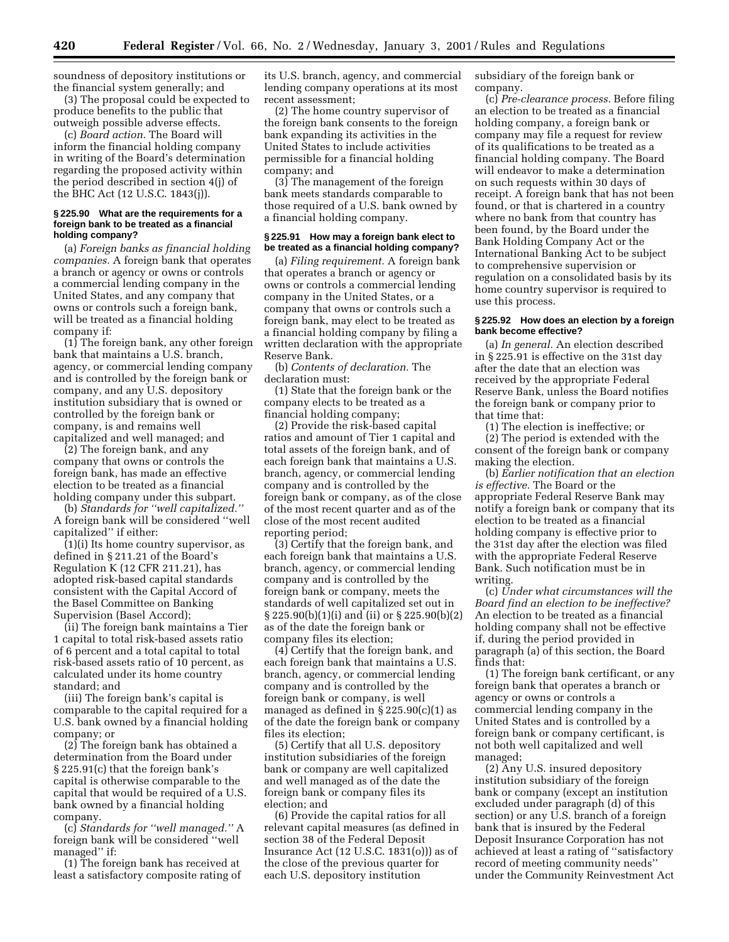soundness of depository institutions or the financial system generally; and

(3) The proposal could be expected to produce benefits to the public that outweigh possible adverse effects.

(c) *Board action.* The Board will inform the financial holding company in writing of the Board's determination regarding the proposed activity within the period described in section 4(j) of the BHC Act (12 U.S.C. 1843(j)).

#### **§ 225.90 What are the requirements for a foreign bank to be treated as a financial holding company?**

(a) *Foreign banks as financial holding companies.* A foreign bank that operates a branch or agency or owns or controls a commercial lending company in the United States, and any company that owns or controls such a foreign bank, will be treated as a financial holding company if:

(1) The foreign bank, any other foreign bank that maintains a U.S. branch, agency, or commercial lending company and is controlled by the foreign bank or company, and any U.S. depository institution subsidiary that is owned or controlled by the foreign bank or company, is and remains well capitalized and well managed; and

(2) The foreign bank, and any company that owns or controls the foreign bank, has made an effective election to be treated as a financial holding company under this subpart.

(b) *Standards for ''well capitalized.''* A foreign bank will be considered ''well capitalized'' if either:

(1)(i) Its home country supervisor, as defined in § 211.21 of the Board's Regulation K (12 CFR 211.21), has adopted risk-based capital standards consistent with the Capital Accord of the Basel Committee on Banking Supervision (Basel Accord);

(ii) The foreign bank maintains a Tier 1 capital to total risk-based assets ratio of 6 percent and a total capital to total risk-based assets ratio of 10 percent, as calculated under its home country standard; and

(iii) The foreign bank's capital is comparable to the capital required for a U.S. bank owned by a financial holding company; or

(2) The foreign bank has obtained a determination from the Board under § 225.91(c) that the foreign bank's capital is otherwise comparable to the capital that would be required of a U.S. bank owned by a financial holding company.

(c) *Standards for ''well managed.''* A foreign bank will be considered ''well managed'' if:

(1) The foreign bank has received at least a satisfactory composite rating of

its U.S. branch, agency, and commercial lending company operations at its most recent assessment;

(2) The home country supervisor of the foreign bank consents to the foreign bank expanding its activities in the United States to include activities permissible for a financial holding company; and

(3) The management of the foreign bank meets standards comparable to those required of a U.S. bank owned by a financial holding company.

### **§ 225.91 How may a foreign bank elect to be treated as a financial holding company?**

(a) *Filing requirement.* A foreign bank that operates a branch or agency or owns or controls a commercial lending company in the United States, or a company that owns or controls such a foreign bank, may elect to be treated as a financial holding company by filing a written declaration with the appropriate Reserve Bank.

(b) *Contents of declaration.* The declaration must:

(1) State that the foreign bank or the company elects to be treated as a financial holding company;

(2) Provide the risk-based capital ratios and amount of Tier 1 capital and total assets of the foreign bank, and of each foreign bank that maintains a U.S. branch, agency, or commercial lending company and is controlled by the foreign bank or company, as of the close of the most recent quarter and as of the close of the most recent audited reporting period;

(3) Certify that the foreign bank, and each foreign bank that maintains a U.S. branch, agency, or commercial lending company and is controlled by the foreign bank or company, meets the standards of well capitalized set out in § 225.90(b)(1)(i) and (ii) or § 225.90(b)(2) as of the date the foreign bank or company files its election;

(4) Certify that the foreign bank, and each foreign bank that maintains a U.S. branch, agency, or commercial lending company and is controlled by the foreign bank or company, is well managed as defined in § 225.90(c)(1) as of the date the foreign bank or company files its election;

(5) Certify that all U.S. depository institution subsidiaries of the foreign bank or company are well capitalized and well managed as of the date the foreign bank or company files its election; and

(6) Provide the capital ratios for all relevant capital measures (as defined in section 38 of the Federal Deposit Insurance Act (12 U.S.C. 1831(o))) as of the close of the previous quarter for each U.S. depository institution

subsidiary of the foreign bank or company.

(c) *Pre-clearance process.* Before filing an election to be treated as a financial holding company, a foreign bank or company may file a request for review of its qualifications to be treated as a financial holding company. The Board will endeavor to make a determination on such requests within 30 days of receipt. A foreign bank that has not been found, or that is chartered in a country where no bank from that country has been found, by the Board under the Bank Holding Company Act or the International Banking Act to be subject to comprehensive supervision or regulation on a consolidated basis by its home country supervisor is required to use this process.

### **§ 225.92 How does an election by a foreign bank become effective?**

(a) *In general.* An election described in § 225.91 is effective on the 31st day after the date that an election was received by the appropriate Federal Reserve Bank, unless the Board notifies the foreign bank or company prior to that time that:

(1) The election is ineffective; or

(2) The period is extended with the consent of the foreign bank or company making the election.

(b) *Earlier notification that an election is effective.* The Board or the appropriate Federal Reserve Bank may notify a foreign bank or company that its election to be treated as a financial holding company is effective prior to the 31st day after the election was filed with the appropriate Federal Reserve Bank. Such notification must be in writing.

(c) *Under what circumstances will the Board find an election to be ineffective?* An election to be treated as a financial holding company shall not be effective if, during the period provided in paragraph (a) of this section, the Board finds that:

(1) The foreign bank certificant, or any foreign bank that operates a branch or agency or owns or controls a commercial lending company in the United States and is controlled by a foreign bank or company certificant, is not both well capitalized and well managed;

(2) Any U.S. insured depository institution subsidiary of the foreign bank or company (except an institution excluded under paragraph (d) of this section) or any U.S. branch of a foreign bank that is insured by the Federal Deposit Insurance Corporation has not achieved at least a rating of ''satisfactory record of meeting community needs'' under the Community Reinvestment Act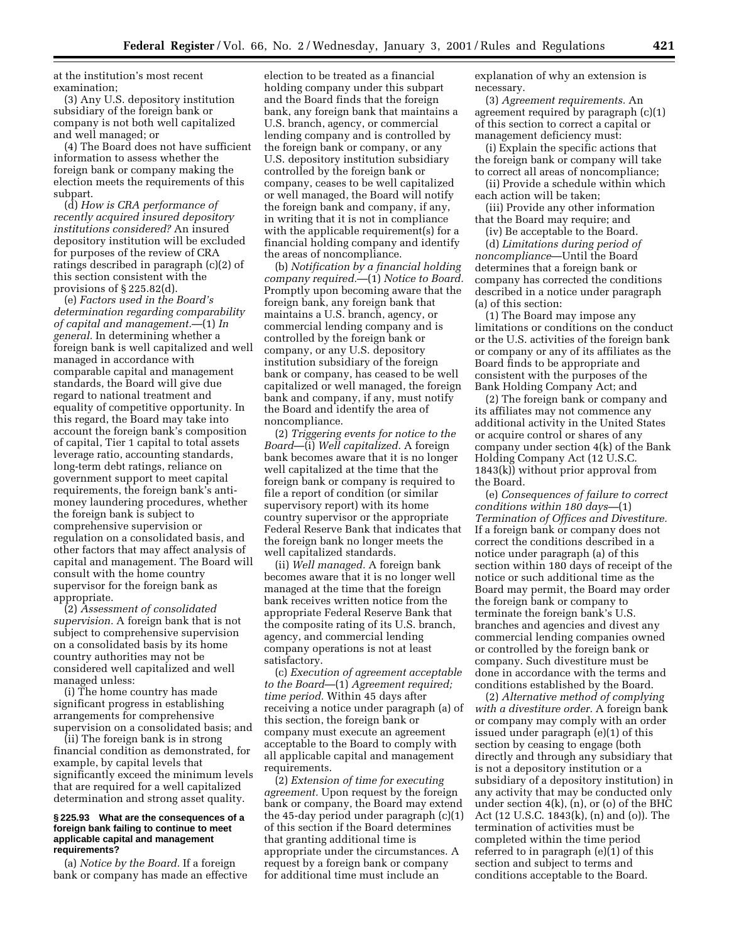at the institution's most recent examination;

(3) Any U.S. depository institution subsidiary of the foreign bank or company is not both well capitalized and well managed; or

(4) The Board does not have sufficient information to assess whether the foreign bank or company making the election meets the requirements of this subpart.

(d) *How is CRA performance of recently acquired insured depository institutions considered?* An insured depository institution will be excluded for purposes of the review of CRA ratings described in paragraph (c)(2) of this section consistent with the provisions of § 225.82(d).

(e) *Factors used in the Board's determination regarding comparability of capital and management.*—(1) *In general.* In determining whether a foreign bank is well capitalized and well managed in accordance with comparable capital and management standards, the Board will give due regard to national treatment and equality of competitive opportunity. In this regard, the Board may take into account the foreign bank's composition of capital, Tier 1 capital to total assets leverage ratio, accounting standards, long-term debt ratings, reliance on government support to meet capital requirements, the foreign bank's antimoney laundering procedures, whether the foreign bank is subject to comprehensive supervision or regulation on a consolidated basis, and other factors that may affect analysis of capital and management. The Board will consult with the home country supervisor for the foreign bank as appropriate.

(2) *Assessment of consolidated supervision.* A foreign bank that is not subject to comprehensive supervision on a consolidated basis by its home country authorities may not be considered well capitalized and well managed unless:

(i) The home country has made significant progress in establishing arrangements for comprehensive supervision on a consolidated basis; and

(ii) The foreign bank is in strong financial condition as demonstrated, for example, by capital levels that significantly exceed the minimum levels that are required for a well capitalized determination and strong asset quality.

### **§ 225.93 What are the consequences of a foreign bank failing to continue to meet applicable capital and management requirements?**

(a) *Notice by the Board.* If a foreign bank or company has made an effective

election to be treated as a financial holding company under this subpart and the Board finds that the foreign bank, any foreign bank that maintains a U.S. branch, agency, or commercial lending company and is controlled by the foreign bank or company, or any U.S. depository institution subsidiary controlled by the foreign bank or company, ceases to be well capitalized or well managed, the Board will notify the foreign bank and company, if any, in writing that it is not in compliance with the applicable requirement(s) for a financial holding company and identify the areas of noncompliance.

(b) *Notification by a financial holding company required.*—(1) *Notice to Board.* Promptly upon becoming aware that the foreign bank, any foreign bank that maintains a U.S. branch, agency, or commercial lending company and is controlled by the foreign bank or company, or any U.S. depository institution subsidiary of the foreign bank or company, has ceased to be well capitalized or well managed, the foreign bank and company, if any, must notify the Board and identify the area of noncompliance.

(2) *Triggering events for notice to the Board*—(i) *Well capitalized.* A foreign bank becomes aware that it is no longer well capitalized at the time that the foreign bank or company is required to file a report of condition (or similar supervisory report) with its home country supervisor or the appropriate Federal Reserve Bank that indicates that the foreign bank no longer meets the well capitalized standards.

(ii) *Well managed.* A foreign bank becomes aware that it is no longer well managed at the time that the foreign bank receives written notice from the appropriate Federal Reserve Bank that the composite rating of its U.S. branch, agency, and commercial lending company operations is not at least satisfactory.

(c) *Execution of agreement acceptable to the Board*—(1) *Agreement required; time period.* Within 45 days after receiving a notice under paragraph (a) of this section, the foreign bank or company must execute an agreement acceptable to the Board to comply with all applicable capital and management requirements.

(2) *Extension of time for executing agreement.* Upon request by the foreign bank or company, the Board may extend the 45-day period under paragraph (c)(1) of this section if the Board determines that granting additional time is appropriate under the circumstances. A request by a foreign bank or company for additional time must include an

explanation of why an extension is necessary.

(3) *Agreement requirements.* An agreement required by paragraph (c)(1) of this section to correct a capital or management deficiency must:

(i) Explain the specific actions that the foreign bank or company will take to correct all areas of noncompliance;

(ii) Provide a schedule within which each action will be taken;

(iii) Provide any other information that the Board may require; and

(iv) Be acceptable to the Board.

(d) *Limitations during period of noncompliance*—Until the Board determines that a foreign bank or company has corrected the conditions described in a notice under paragraph (a) of this section:

(1) The Board may impose any limitations or conditions on the conduct or the U.S. activities of the foreign bank or company or any of its affiliates as the Board finds to be appropriate and consistent with the purposes of the Bank Holding Company Act; and

(2) The foreign bank or company and its affiliates may not commence any additional activity in the United States or acquire control or shares of any company under section 4(k) of the Bank Holding Company Act (12 U.S.C. 1843(k)) without prior approval from the Board.

(e) *Consequences of failure to correct conditions within 180 days—*(1) *Termination of Offices and Divestiture.* If a foreign bank or company does not correct the conditions described in a notice under paragraph (a) of this section within 180 days of receipt of the notice or such additional time as the Board may permit, the Board may order the foreign bank or company to terminate the foreign bank's U.S. branches and agencies and divest any commercial lending companies owned or controlled by the foreign bank or company. Such divestiture must be done in accordance with the terms and conditions established by the Board.

(2) *Alternative method of complying with a divestiture order.* A foreign bank or company may comply with an order issued under paragraph (e)(1) of this section by ceasing to engage (both directly and through any subsidiary that is not a depository institution or a subsidiary of a depository institution) in any activity that may be conducted only under section 4(k), (n), or (o) of the BHC Act (12 U.S.C. 1843(k), (n) and (o)). The termination of activities must be completed within the time period referred to in paragraph (e)(1) of this section and subject to terms and conditions acceptable to the Board.